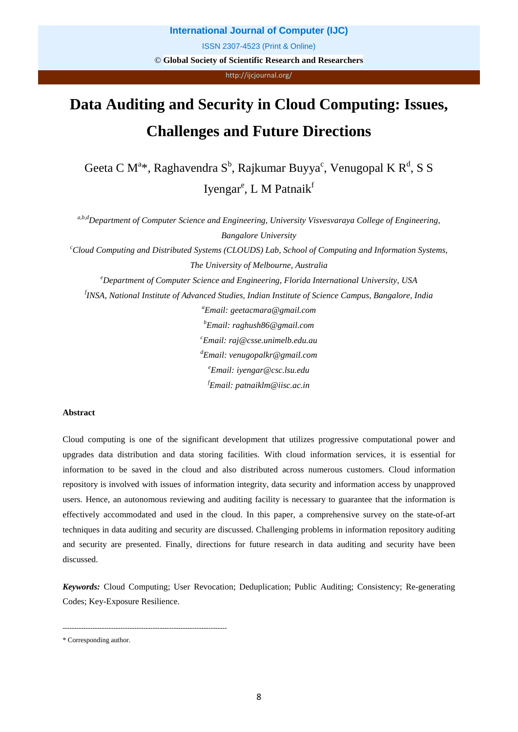http://ijcjournal.org/

# **Data Auditing and Security in Cloud Computing: Issues, Challenges and Future Directions**

Geeta C M<sup>a\*</sup>, Raghavendra S<sup>b</sup>, Rajkumar Buyya<sup>c</sup>, Venugopal K R<sup>d</sup>, S S Iyengar<sup>e</sup>, L M Patnaik<sup>f</sup>

*a,b,dDepartment of Computer Science and Engineering, University Visvesvaraya College of Engineering, Bangalore University*

*c Cloud Computing and Distributed Systems (CLOUDS) Lab, School of Computing and Information Systems, The University of Melbourne, Australia*

*e Department of Computer Science and Engineering, Florida International University, USA*

*f INSA, National Institute of Advanced Studies, Indian Institute of Science Campus, Bangalore, India*

*a Email: geetacmara@gmail.com b Email: raghush86@gmail.com c Email: raj@csse.unimelb.edu.au d Email: venugopalkr@gmail.com e Email: iyengar@csc.lsu.edu f Email: patnaiklm@iisc.ac.in*

# **Abstract**

Cloud computing is one of the significant development that utilizes progressive computational power and upgrades data distribution and data storing facilities. With cloud information services, it is essential for information to be saved in the cloud and also distributed across numerous customers. Cloud information repository is involved with issues of information integrity, data security and information access by unapproved users. Hence, an autonomous reviewing and auditing facility is necessary to guarantee that the information is effectively accommodated and used in the cloud. In this paper, a comprehensive survey on the state-of-art techniques in data auditing and security are discussed. Challenging problems in information repository auditing and security are presented. Finally, directions for future research in data auditing and security have been discussed.

*Keywords:* Cloud Computing; User Revocation; Deduplication; Public Auditing; Consistency; Re-generating Codes; Key-Exposure Resilience.

<sup>-----------------------------------------------------------------------</sup>

<sup>\*</sup> Corresponding author.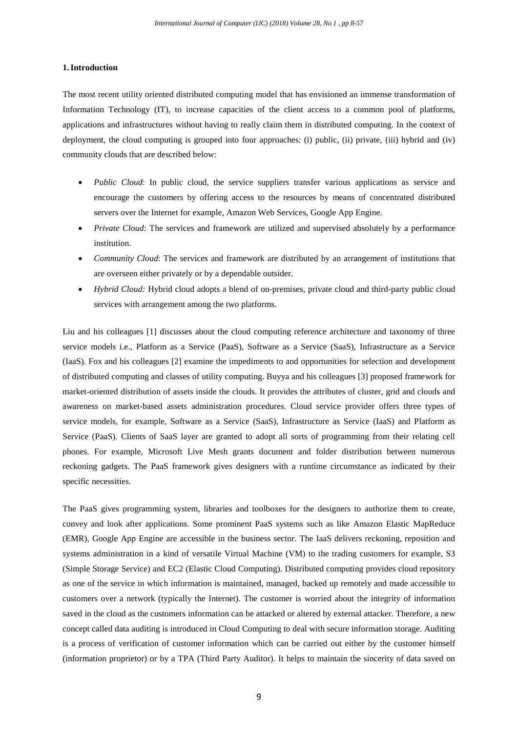# **1.Introduction**

The most recent utility oriented distributed computing model that has envisioned an immense transformation of Information Technology (IT), to increase capacities of the client access to a common pool of platforms, applications and infrastructures without having to really claim them in distributed computing. In the context of deployment, the cloud computing is grouped into four approaches: (i) public, (ii) private, (iii) hybrid and (iv) community clouds that are described below:

- *Public Cloud*: In public cloud, the service suppliers transfer various applications as service and encourage the customers by offering access to the resources by means of concentrated distributed servers over the Internet for example, Amazon Web Services, Google App Engine.
- *Private Cloud*: The services and framework are utilized and supervised absolutely by a performance institution.
- *Community Cloud*: The services and framework are distributed by an arrangement of institutions that are overseen either privately or by a dependable outsider.
- *Hybrid Cloud:* Hybrid cloud adopts a blend of on-premises, private cloud and third-party public cloud services with arrangement among the two platforms.

Liu and his colleagues [1] discusses about the cloud computing reference architecture and taxonomy of three service models i.e., Platform as a Service (PaaS), Software as a Service (SaaS), Infrastructure as a Service (IaaS). Fox and his colleagues [2] examine the impediments to and opportunities for selection and development of distributed computing and classes of utility computing. Buyya and his colleagues [3] proposed framework for market-oriented distribution of assets inside the clouds. It provides the attributes of cluster, grid and clouds and awareness on market-based assets administration procedures. Cloud service provider offers three types of service models, for example, Software as a Service (SaaS), Infrastructure as Service (IaaS) and Platform as Service (PaaS). Clients of SaaS layer are granted to adopt all sorts of programming from their relating cell phones. For example, Microsoft Live Mesh grants document and folder distribution between numerous reckoning gadgets. The PaaS framework gives designers with a runtime circumstance as indicated by their specific necessities.

The PaaS gives programming system, libraries and toolboxes for the designers to authorize them to create, convey and look after applications. Some prominent PaaS systems such as like Amazon Elastic MapReduce (EMR), Google App Engine are accessible in the business sector. The IaaS delivers reckoning, reposition and systems administration in a kind of versatile Virtual Machine (VM) to the trading customers for example, S3 (Simple Storage Service) and EC2 (Elastic Cloud Computing). Distributed computing provides cloud repository as one of the service in which information is maintained, managed, backed up remotely and made accessible to customers over a network (typically the Internet). The customer is worried about the integrity of information saved in the cloud as the customers information can be attacked or altered by external attacker. Therefore, a new concept called data auditing is introduced in Cloud Computing to deal with secure information storage. Auditing is a process of verification of customer information which can be carried out either by the customer himself (information proprietor) or by a TPA (Third Party Auditor). It helps to maintain the sincerity of data saved on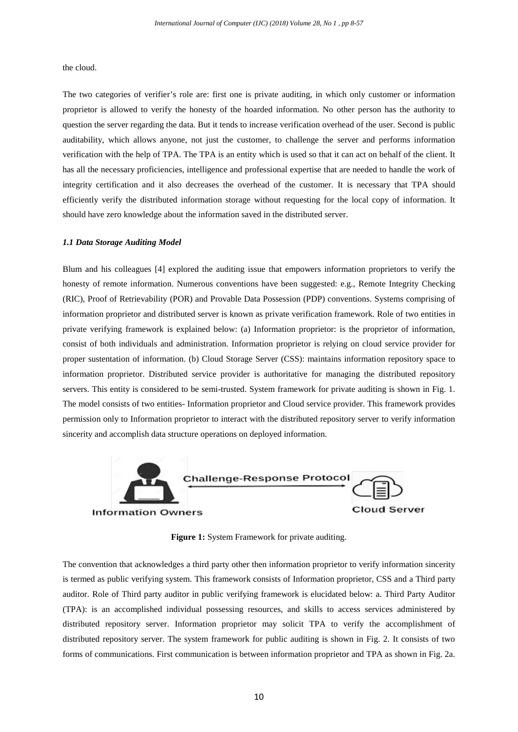the cloud.

The two categories of verifier's role are: first one is private auditing, in which only customer or information proprietor is allowed to verify the honesty of the hoarded information. No other person has the authority to question the server regarding the data. But it tends to increase verification overhead of the user. Second is public auditability, which allows anyone, not just the customer, to challenge the server and performs information verification with the help of TPA. The TPA is an entity which is used so that it can act on behalf of the client. It has all the necessary proficiencies, intelligence and professional expertise that are needed to handle the work of integrity certification and it also decreases the overhead of the customer. It is necessary that TPA should efficiently verify the distributed information storage without requesting for the local copy of information. It should have zero knowledge about the information saved in the distributed server.

# *1.1 Data Storage Auditing Model*

Blum and his colleagues [4] explored the auditing issue that empowers information proprietors to verify the honesty of remote information. Numerous conventions have been suggested: e.g., Remote Integrity Checking (RIC), Proof of Retrievability (POR) and Provable Data Possession (PDP) conventions. Systems comprising of information proprietor and distributed server is known as private verification framework. Role of two entities in private verifying framework is explained below: (a) Information proprietor: is the proprietor of information, consist of both individuals and administration. Information proprietor is relying on cloud service provider for proper sustentation of information. (b) Cloud Storage Server (CSS): maintains information repository space to information proprietor. Distributed service provider is authoritative for managing the distributed repository servers. This entity is considered to be semi-trusted. System framework for private auditing is shown in Fig. 1. The model consists of two entities- Information proprietor and Cloud service provider. This framework provides permission only to Information proprietor to interact with the distributed repository server to verify information sincerity and accomplish data structure operations on deployed information.



**Figure 1:** System Framework for private auditing.

The convention that acknowledges a third party other then information proprietor to verify information sincerity is termed as public verifying system. This framework consists of Information proprietor, CSS and a Third party auditor. Role of Third party auditor in public verifying framework is elucidated below: a. Third Party Auditor (TPA): is an accomplished individual possessing resources, and skills to access services administered by distributed repository server. Information proprietor may solicit TPA to verify the accomplishment of distributed repository server. The system framework for public auditing is shown in Fig. 2. It consists of two forms of communications. First communication is between information proprietor and TPA as shown in Fig. 2a.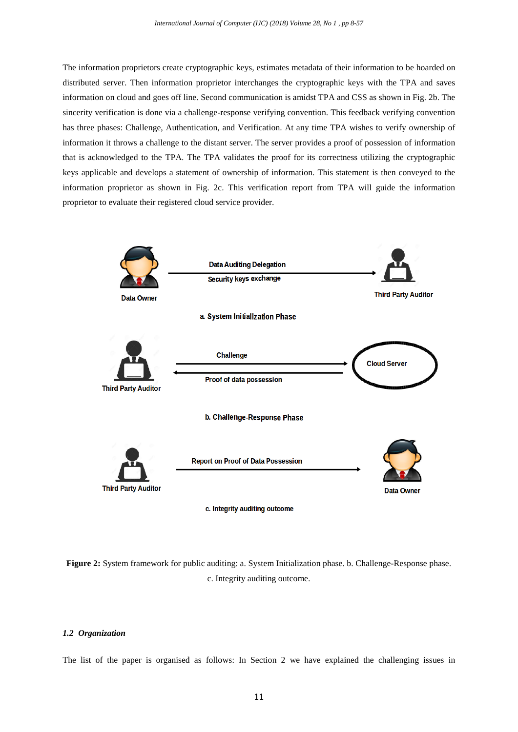The information proprietors create cryptographic keys, estimates metadata of their information to be hoarded on distributed server. Then information proprietor interchanges the cryptographic keys with the TPA and saves information on cloud and goes off line. Second communication is amidst TPA and CSS as shown in Fig. 2b. The sincerity verification is done via a challenge-response verifying convention. This feedback verifying convention has three phases: Challenge, Authentication, and Verification. At any time TPA wishes to verify ownership of information it throws a challenge to the distant server. The server provides a proof of possession of information that is acknowledged to the TPA. The TPA validates the proof for its correctness utilizing the cryptographic keys applicable and develops a statement of ownership of information. This statement is then conveyed to the information proprietor as shown in Fig. 2c. This verification report from TPA will guide the information proprietor to evaluate their registered cloud service provider.



**Figure 2:** System framework for public auditing: a. System Initialization phase. b. Challenge-Response phase. c. Integrity auditing outcome.

# *1.2 Organization*

The list of the paper is organised as follows: In Section 2 we have explained the challenging issues in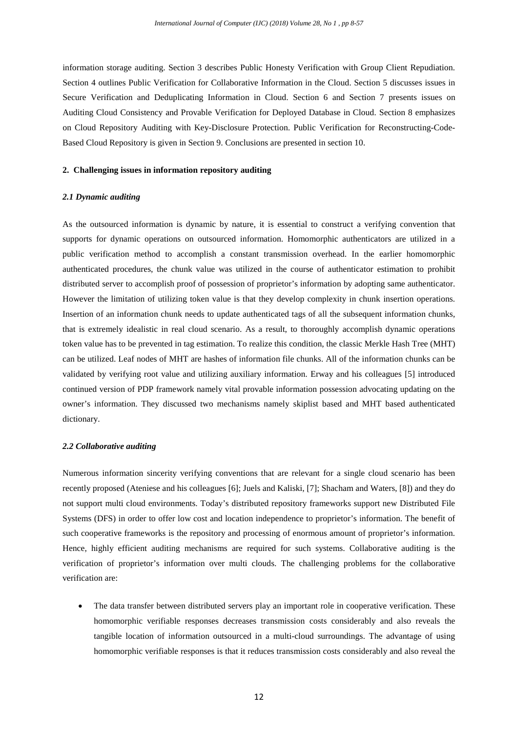information storage auditing. Section 3 describes Public Honesty Verification with Group Client Repudiation. Section 4 outlines Public Verification for Collaborative Information in the Cloud. Section 5 discusses issues in Secure Verification and Deduplicating Information in Cloud. Section 6 and Section 7 presents issues on Auditing Cloud Consistency and Provable Verification for Deployed Database in Cloud. Section 8 emphasizes on Cloud Repository Auditing with Key-Disclosure Protection. Public Verification for Reconstructing-Code-Based Cloud Repository is given in Section 9. Conclusions are presented in section 10.

#### **2. Challenging issues in information repository auditing**

## *2.1 Dynamic auditing*

As the outsourced information is dynamic by nature, it is essential to construct a verifying convention that supports for dynamic operations on outsourced information. Homomorphic authenticators are utilized in a public verification method to accomplish a constant transmission overhead. In the earlier homomorphic authenticated procedures, the chunk value was utilized in the course of authenticator estimation to prohibit distributed server to accomplish proof of possession of proprietor's information by adopting same authenticator. However the limitation of utilizing token value is that they develop complexity in chunk insertion operations. Insertion of an information chunk needs to update authenticated tags of all the subsequent information chunks, that is extremely idealistic in real cloud scenario. As a result, to thoroughly accomplish dynamic operations token value has to be prevented in tag estimation. To realize this condition, the classic Merkle Hash Tree (MHT) can be utilized. Leaf nodes of MHT are hashes of information file chunks. All of the information chunks can be validated by verifying root value and utilizing auxiliary information. Erway and his colleagues [5] introduced continued version of PDP framework namely vital provable information possession advocating updating on the owner's information. They discussed two mechanisms namely skiplist based and MHT based authenticated dictionary.

#### *2.2 Collaborative auditing*

Numerous information sincerity verifying conventions that are relevant for a single cloud scenario has been recently proposed (Ateniese and his colleagues [6]; Juels and Kaliski, [7]; Shacham and Waters, [8]) and they do not support multi cloud environments. Today's distributed repository frameworks support new Distributed File Systems (DFS) in order to offer low cost and location independence to proprietor's information. The benefit of such cooperative frameworks is the repository and processing of enormous amount of proprietor's information. Hence, highly efficient auditing mechanisms are required for such systems. Collaborative auditing is the verification of proprietor's information over multi clouds. The challenging problems for the collaborative verification are:

The data transfer between distributed servers play an important role in cooperative verification. These homomorphic verifiable responses decreases transmission costs considerably and also reveals the tangible location of information outsourced in a multi-cloud surroundings. The advantage of using homomorphic verifiable responses is that it reduces transmission costs considerably and also reveal the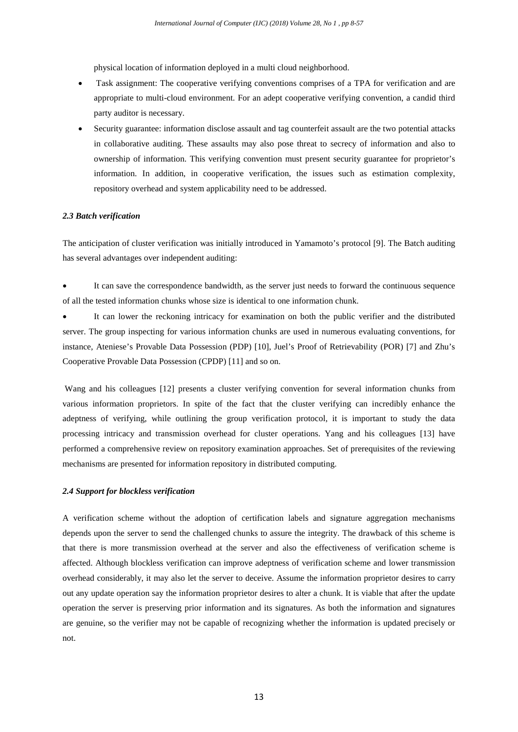physical location of information deployed in a multi cloud neighborhood.

- Task assignment: The cooperative verifying conventions comprises of a TPA for verification and are appropriate to multi-cloud environment. For an adept cooperative verifying convention, a candid third party auditor is necessary.
- Security guarantee: information disclose assault and tag counterfeit assault are the two potential attacks in collaborative auditing. These assaults may also pose threat to secrecy of information and also to ownership of information. This verifying convention must present security guarantee for proprietor's information. In addition, in cooperative verification, the issues such as estimation complexity, repository overhead and system applicability need to be addressed.

## *2.3 Batch verification*

The anticipation of cluster verification was initially introduced in Yamamoto's protocol [9]. The Batch auditing has several advantages over independent auditing:

It can save the correspondence bandwidth, as the server just needs to forward the continuous sequence of all the tested information chunks whose size is identical to one information chunk.

It can lower the reckoning intricacy for examination on both the public verifier and the distributed server. The group inspecting for various information chunks are used in numerous evaluating conventions, for instance, Ateniese's Provable Data Possession (PDP) [10], Juel's Proof of Retrievability (POR) [7] and Zhu's Cooperative Provable Data Possession (CPDP) [11] and so on.

Wang and his colleagues [12] presents a cluster verifying convention for several information chunks from various information proprietors. In spite of the fact that the cluster verifying can incredibly enhance the adeptness of verifying, while outlining the group verification protocol, it is important to study the data processing intricacy and transmission overhead for cluster operations. Yang and his colleagues [13] have performed a comprehensive review on repository examination approaches. Set of prerequisites of the reviewing mechanisms are presented for information repository in distributed computing.

# *2.4 Support for blockless verification*

A verification scheme without the adoption of certification labels and signature aggregation mechanisms depends upon the server to send the challenged chunks to assure the integrity. The drawback of this scheme is that there is more transmission overhead at the server and also the effectiveness of verification scheme is affected. Although blockless verification can improve adeptness of verification scheme and lower transmission overhead considerably, it may also let the server to deceive. Assume the information proprietor desires to carry out any update operation say the information proprietor desires to alter a chunk. It is viable that after the update operation the server is preserving prior information and its signatures. As both the information and signatures are genuine, so the verifier may not be capable of recognizing whether the information is updated precisely or not.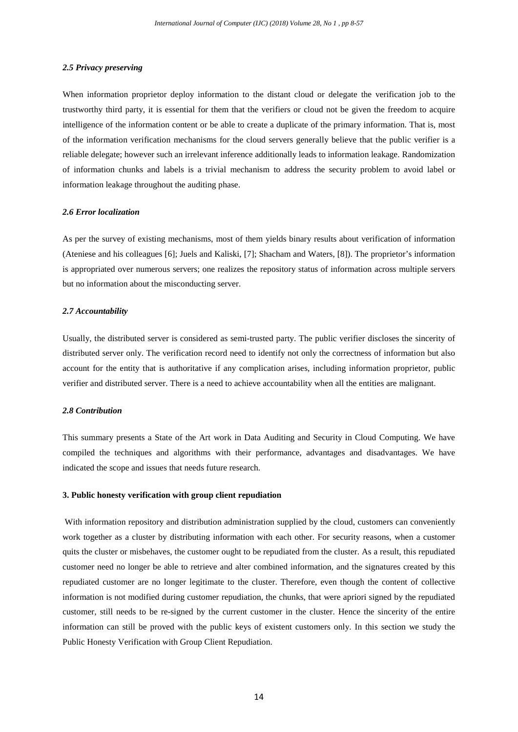#### *2.5 Privacy preserving*

When information proprietor deploy information to the distant cloud or delegate the verification job to the trustworthy third party, it is essential for them that the verifiers or cloud not be given the freedom to acquire intelligence of the information content or be able to create a duplicate of the primary information. That is, most of the information verification mechanisms for the cloud servers generally believe that the public verifier is a reliable delegate; however such an irrelevant inference additionally leads to information leakage. Randomization of information chunks and labels is a trivial mechanism to address the security problem to avoid label or information leakage throughout the auditing phase.

## *2.6 Error localization*

As per the survey of existing mechanisms, most of them yields binary results about verification of information (Ateniese and his colleagues [6]; Juels and Kaliski, [7]; Shacham and Waters, [8]). The proprietor's information is appropriated over numerous servers; one realizes the repository status of information across multiple servers but no information about the misconducting server.

# *2.7 Accountability*

Usually, the distributed server is considered as semi-trusted party. The public verifier discloses the sincerity of distributed server only. The verification record need to identify not only the correctness of information but also account for the entity that is authoritative if any complication arises, including information proprietor, public verifier and distributed server. There is a need to achieve accountability when all the entities are malignant.

#### *2.8 Contribution*

This summary presents a State of the Art work in Data Auditing and Security in Cloud Computing. We have compiled the techniques and algorithms with their performance, advantages and disadvantages. We have indicated the scope and issues that needs future research.

## **3. Public honesty verification with group client repudiation**

With information repository and distribution administration supplied by the cloud, customers can conveniently work together as a cluster by distributing information with each other. For security reasons, when a customer quits the cluster or misbehaves, the customer ought to be repudiated from the cluster. As a result, this repudiated customer need no longer be able to retrieve and alter combined information, and the signatures created by this repudiated customer are no longer legitimate to the cluster. Therefore, even though the content of collective information is not modified during customer repudiation, the chunks, that were apriori signed by the repudiated customer, still needs to be re-signed by the current customer in the cluster. Hence the sincerity of the entire information can still be proved with the public keys of existent customers only. In this section we study the Public Honesty Verification with Group Client Repudiation.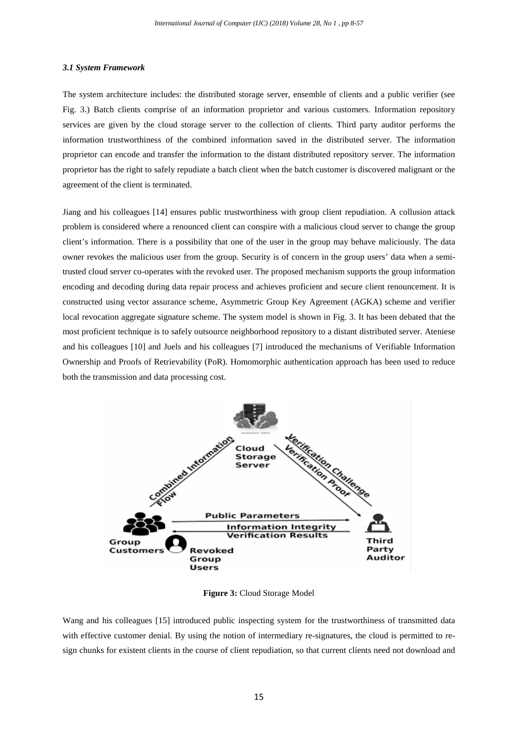#### *3.1 System Framework*

The system architecture includes: the distributed storage server, ensemble of clients and a public verifier (see Fig. 3.) Batch clients comprise of an information proprietor and various customers. Information repository services are given by the cloud storage server to the collection of clients. Third party auditor performs the information trustworthiness of the combined information saved in the distributed server. The information proprietor can encode and transfer the information to the distant distributed repository server. The information proprietor has the right to safely repudiate a batch client when the batch customer is discovered malignant or the agreement of the client is terminated.

Jiang and his colleagues [14] ensures public trustworthiness with group client repudiation. A collusion attack problem is considered where a renounced client can conspire with a malicious cloud server to change the group client's information. There is a possibility that one of the user in the group may behave maliciously. The data owner revokes the malicious user from the group. Security is of concern in the group users' data when a semitrusted cloud server co-operates with the revoked user. The proposed mechanism supports the group information encoding and decoding during data repair process and achieves proficient and secure client renouncement. It is constructed using vector assurance scheme, Asymmetric Group Key Agreement (AGKA) scheme and verifier local revocation aggregate signature scheme. The system model is shown in Fig. 3. It has been debated that the most proficient technique is to safely outsource neighborhood repository to a distant distributed server. Ateniese and his colleagues [10] and Juels and his colleagues [7] introduced the mechanisms of Verifiable Information Ownership and Proofs of Retrievability (PoR). Homomorphic authentication approach has been used to reduce both the transmission and data processing cost.



**Figure 3:** Cloud Storage Model

Wang and his colleagues [15] introduced public inspecting system for the trustworthiness of transmitted data with effective customer denial. By using the notion of intermediary re-signatures, the cloud is permitted to resign chunks for existent clients in the course of client repudiation, so that current clients need not download and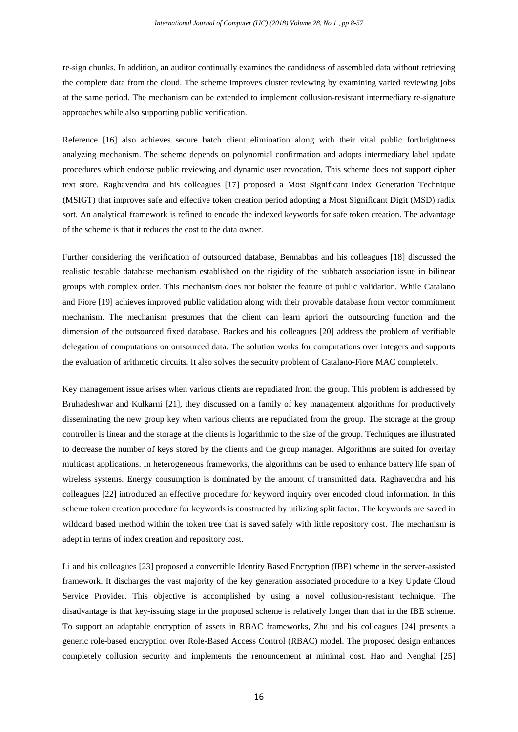re-sign chunks. In addition, an auditor continually examines the candidness of assembled data without retrieving the complete data from the cloud. The scheme improves cluster reviewing by examining varied reviewing jobs at the same period. The mechanism can be extended to implement collusion-resistant intermediary re-signature approaches while also supporting public verification.

Reference [16] also achieves secure batch client elimination along with their vital public forthrightness analyzing mechanism. The scheme depends on polynomial confirmation and adopts intermediary label update procedures which endorse public reviewing and dynamic user revocation. This scheme does not support cipher text store. Raghavendra and his colleagues [17] proposed a Most Significant Index Generation Technique (MSIGT) that improves safe and effective token creation period adopting a Most Significant Digit (MSD) radix sort. An analytical framework is refined to encode the indexed keywords for safe token creation. The advantage of the scheme is that it reduces the cost to the data owner.

Further considering the verification of outsourced database, Bennabbas and his colleagues [18] discussed the realistic testable database mechanism established on the rigidity of the subbatch association issue in bilinear groups with complex order. This mechanism does not bolster the feature of public validation. While Catalano and Fiore [19] achieves improved public validation along with their provable database from vector commitment mechanism. The mechanism presumes that the client can learn apriori the outsourcing function and the dimension of the outsourced fixed database. Backes and his colleagues [20] address the problem of verifiable delegation of computations on outsourced data. The solution works for computations over integers and supports the evaluation of arithmetic circuits. It also solves the security problem of Catalano-Fiore MAC completely.

Key management issue arises when various clients are repudiated from the group. This problem is addressed by Bruhadeshwar and Kulkarni [21], they discussed on a family of key management algorithms for productively disseminating the new group key when various clients are repudiated from the group. The storage at the group controller is linear and the storage at the clients is logarithmic to the size of the group. Techniques are illustrated to decrease the number of keys stored by the clients and the group manager. Algorithms are suited for overlay multicast applications. In heterogeneous frameworks, the algorithms can be used to enhance battery life span of wireless systems. Energy consumption is dominated by the amount of transmitted data. Raghavendra and his colleagues [22] introduced an effective procedure for keyword inquiry over encoded cloud information. In this scheme token creation procedure for keywords is constructed by utilizing split factor. The keywords are saved in wildcard based method within the token tree that is saved safely with little repository cost. The mechanism is adept in terms of index creation and repository cost.

Li and his colleagues [23] proposed a convertible Identity Based Encryption (IBE) scheme in the server-assisted framework. It discharges the vast majority of the key generation associated procedure to a Key Update Cloud Service Provider. This objective is accomplished by using a novel collusion-resistant technique. The disadvantage is that key-issuing stage in the proposed scheme is relatively longer than that in the IBE scheme. To support an adaptable encryption of assets in RBAC frameworks, Zhu and his colleagues [24] presents a generic role-based encryption over Role-Based Access Control (RBAC) model. The proposed design enhances completely collusion security and implements the renouncement at minimal cost. Hao and Nenghai [25]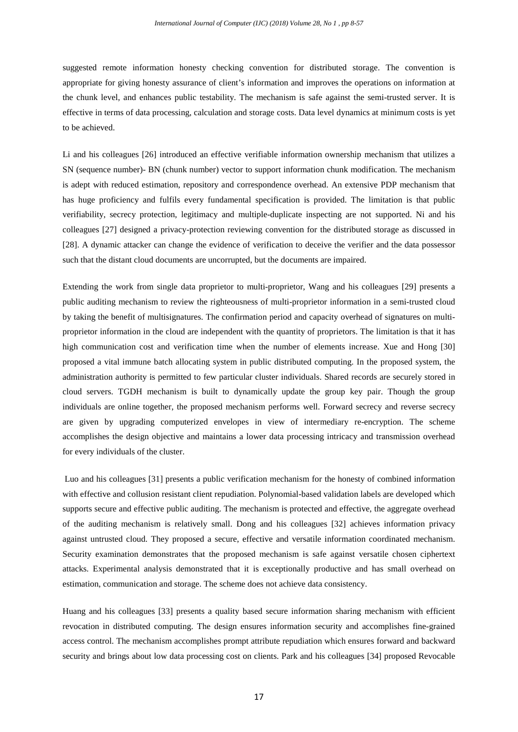suggested remote information honesty checking convention for distributed storage. The convention is appropriate for giving honesty assurance of client's information and improves the operations on information at the chunk level, and enhances public testability. The mechanism is safe against the semi-trusted server. It is effective in terms of data processing, calculation and storage costs. Data level dynamics at minimum costs is yet to be achieved.

Li and his colleagues [26] introduced an effective verifiable information ownership mechanism that utilizes a SN (sequence number)- BN (chunk number) vector to support information chunk modification. The mechanism is adept with reduced estimation, repository and correspondence overhead. An extensive PDP mechanism that has huge proficiency and fulfils every fundamental specification is provided. The limitation is that public verifiability, secrecy protection, legitimacy and multiple-duplicate inspecting are not supported. Ni and his colleagues [27] designed a privacy-protection reviewing convention for the distributed storage as discussed in [28]. A dynamic attacker can change the evidence of verification to deceive the verifier and the data possessor such that the distant cloud documents are uncorrupted, but the documents are impaired.

Extending the work from single data proprietor to multi-proprietor, Wang and his colleagues [29] presents a public auditing mechanism to review the righteousness of multi-proprietor information in a semi-trusted cloud by taking the benefit of multisignatures. The confirmation period and capacity overhead of signatures on multiproprietor information in the cloud are independent with the quantity of proprietors. The limitation is that it has high communication cost and verification time when the number of elements increase. Xue and Hong [30] proposed a vital immune batch allocating system in public distributed computing. In the proposed system, the administration authority is permitted to few particular cluster individuals. Shared records are securely stored in cloud servers. TGDH mechanism is built to dynamically update the group key pair. Though the group individuals are online together, the proposed mechanism performs well. Forward secrecy and reverse secrecy are given by upgrading computerized envelopes in view of intermediary re-encryption. The scheme accomplishes the design objective and maintains a lower data processing intricacy and transmission overhead for every individuals of the cluster.

Luo and his colleagues [31] presents a public verification mechanism for the honesty of combined information with effective and collusion resistant client repudiation. Polynomial-based validation labels are developed which supports secure and effective public auditing. The mechanism is protected and effective, the aggregate overhead of the auditing mechanism is relatively small. Dong and his colleagues [32] achieves information privacy against untrusted cloud. They proposed a secure, effective and versatile information coordinated mechanism. Security examination demonstrates that the proposed mechanism is safe against versatile chosen ciphertext attacks. Experimental analysis demonstrated that it is exceptionally productive and has small overhead on estimation, communication and storage. The scheme does not achieve data consistency.

Huang and his colleagues [33] presents a quality based secure information sharing mechanism with efficient revocation in distributed computing. The design ensures information security and accomplishes fine-grained access control. The mechanism accomplishes prompt attribute repudiation which ensures forward and backward security and brings about low data processing cost on clients. Park and his colleagues [34] proposed Revocable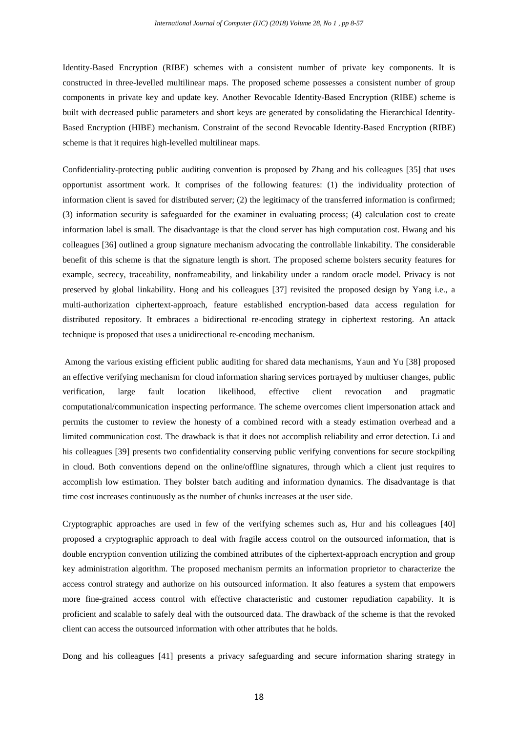Identity-Based Encryption (RIBE) schemes with a consistent number of private key components. It is constructed in three-levelled multilinear maps. The proposed scheme possesses a consistent number of group components in private key and update key. Another Revocable Identity-Based Encryption (RIBE) scheme is built with decreased public parameters and short keys are generated by consolidating the Hierarchical Identity-Based Encryption (HIBE) mechanism. Constraint of the second Revocable Identity-Based Encryption (RIBE) scheme is that it requires high-levelled multilinear maps.

Confidentiality-protecting public auditing convention is proposed by Zhang and his colleagues [35] that uses opportunist assortment work. It comprises of the following features: (1) the individuality protection of information client is saved for distributed server; (2) the legitimacy of the transferred information is confirmed; (3) information security is safeguarded for the examiner in evaluating process; (4) calculation cost to create information label is small. The disadvantage is that the cloud server has high computation cost. Hwang and his colleagues [36] outlined a group signature mechanism advocating the controllable linkability. The considerable benefit of this scheme is that the signature length is short. The proposed scheme bolsters security features for example, secrecy, traceability, nonframeability, and linkability under a random oracle model. Privacy is not preserved by global linkability. Hong and his colleagues [37] revisited the proposed design by Yang i.e., a multi-authorization ciphertext-approach, feature established encryption-based data access regulation for distributed repository. It embraces a bidirectional re-encoding strategy in ciphertext restoring. An attack technique is proposed that uses a unidirectional re-encoding mechanism.

Among the various existing efficient public auditing for shared data mechanisms, Yaun and Yu [38] proposed an effective verifying mechanism for cloud information sharing services portrayed by multiuser changes, public verification, large fault location likelihood, effective client revocation and pragmatic computational/communication inspecting performance. The scheme overcomes client impersonation attack and permits the customer to review the honesty of a combined record with a steady estimation overhead and a limited communication cost. The drawback is that it does not accomplish reliability and error detection. Li and his colleagues [39] presents two confidentiality conserving public verifying conventions for secure stockpiling in cloud. Both conventions depend on the online/offline signatures, through which a client just requires to accomplish low estimation. They bolster batch auditing and information dynamics. The disadvantage is that time cost increases continuously as the number of chunks increases at the user side.

Cryptographic approaches are used in few of the verifying schemes such as, Hur and his colleagues [40] proposed a cryptographic approach to deal with fragile access control on the outsourced information, that is double encryption convention utilizing the combined attributes of the ciphertext-approach encryption and group key administration algorithm. The proposed mechanism permits an information proprietor to characterize the access control strategy and authorize on his outsourced information. It also features a system that empowers more fine-grained access control with effective characteristic and customer repudiation capability. It is proficient and scalable to safely deal with the outsourced data. The drawback of the scheme is that the revoked client can access the outsourced information with other attributes that he holds.

Dong and his colleagues [41] presents a privacy safeguarding and secure information sharing strategy in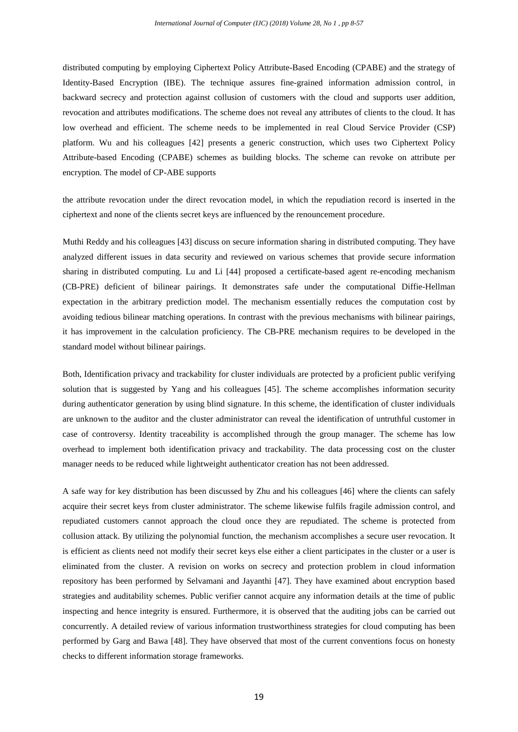distributed computing by employing Ciphertext Policy Attribute-Based Encoding (CPABE) and the strategy of Identity-Based Encryption (IBE). The technique assures fine-grained information admission control, in backward secrecy and protection against collusion of customers with the cloud and supports user addition, revocation and attributes modifications. The scheme does not reveal any attributes of clients to the cloud. It has low overhead and efficient. The scheme needs to be implemented in real Cloud Service Provider (CSP) platform. Wu and his colleagues [42] presents a generic construction, which uses two Ciphertext Policy Attribute-based Encoding (CPABE) schemes as building blocks. The scheme can revoke on attribute per encryption. The model of CP-ABE supports

the attribute revocation under the direct revocation model, in which the repudiation record is inserted in the ciphertext and none of the clients secret keys are influenced by the renouncement procedure.

Muthi Reddy and his colleagues [43] discuss on secure information sharing in distributed computing. They have analyzed different issues in data security and reviewed on various schemes that provide secure information sharing in distributed computing. Lu and Li [44] proposed a certificate-based agent re-encoding mechanism (CB-PRE) deficient of bilinear pairings. It demonstrates safe under the computational Diffie-Hellman expectation in the arbitrary prediction model. The mechanism essentially reduces the computation cost by avoiding tedious bilinear matching operations. In contrast with the previous mechanisms with bilinear pairings, it has improvement in the calculation proficiency. The CB-PRE mechanism requires to be developed in the standard model without bilinear pairings.

Both, Identification privacy and trackability for cluster individuals are protected by a proficient public verifying solution that is suggested by Yang and his colleagues [45]. The scheme accomplishes information security during authenticator generation by using blind signature. In this scheme, the identification of cluster individuals are unknown to the auditor and the cluster administrator can reveal the identification of untruthful customer in case of controversy. Identity traceability is accomplished through the group manager. The scheme has low overhead to implement both identification privacy and trackability. The data processing cost on the cluster manager needs to be reduced while lightweight authenticator creation has not been addressed.

A safe way for key distribution has been discussed by Zhu and his colleagues [46] where the clients can safely acquire their secret keys from cluster administrator. The scheme likewise fulfils fragile admission control, and repudiated customers cannot approach the cloud once they are repudiated. The scheme is protected from collusion attack. By utilizing the polynomial function, the mechanism accomplishes a secure user revocation. It is efficient as clients need not modify their secret keys else either a client participates in the cluster or a user is eliminated from the cluster. A revision on works on secrecy and protection problem in cloud information repository has been performed by Selvamani and Jayanthi [47]. They have examined about encryption based strategies and auditability schemes. Public verifier cannot acquire any information details at the time of public inspecting and hence integrity is ensured. Furthermore, it is observed that the auditing jobs can be carried out concurrently. A detailed review of various information trustworthiness strategies for cloud computing has been performed by Garg and Bawa [48]. They have observed that most of the current conventions focus on honesty checks to different information storage frameworks.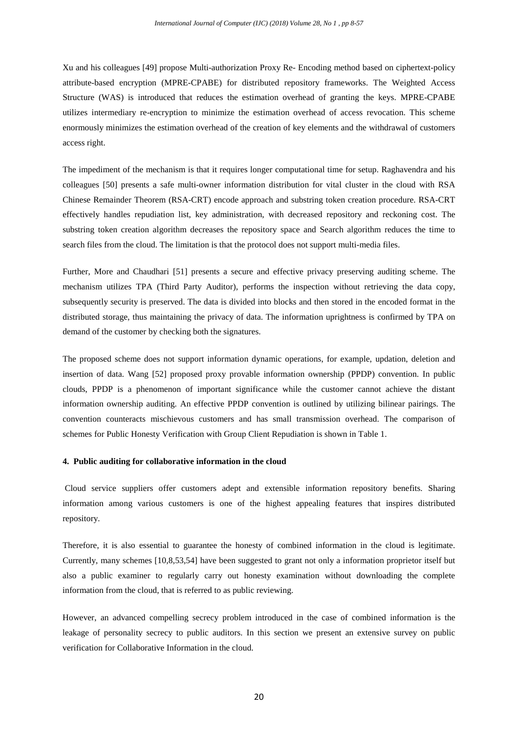Xu and his colleagues [49] propose Multi-authorization Proxy Re- Encoding method based on ciphertext-policy attribute-based encryption (MPRE-CPABE) for distributed repository frameworks. The Weighted Access Structure (WAS) is introduced that reduces the estimation overhead of granting the keys. MPRE-CPABE utilizes intermediary re-encryption to minimize the estimation overhead of access revocation. This scheme enormously minimizes the estimation overhead of the creation of key elements and the withdrawal of customers access right.

The impediment of the mechanism is that it requires longer computational time for setup. Raghavendra and his colleagues [50] presents a safe multi-owner information distribution for vital cluster in the cloud with RSA Chinese Remainder Theorem (RSA-CRT) encode approach and substring token creation procedure. RSA-CRT effectively handles repudiation list, key administration, with decreased repository and reckoning cost. The substring token creation algorithm decreases the repository space and Search algorithm reduces the time to search files from the cloud. The limitation is that the protocol does not support multi-media files.

Further, More and Chaudhari [51] presents a secure and effective privacy preserving auditing scheme. The mechanism utilizes TPA (Third Party Auditor), performs the inspection without retrieving the data copy, subsequently security is preserved. The data is divided into blocks and then stored in the encoded format in the distributed storage, thus maintaining the privacy of data. The information uprightness is confirmed by TPA on demand of the customer by checking both the signatures.

The proposed scheme does not support information dynamic operations, for example, updation, deletion and insertion of data. Wang [52] proposed proxy provable information ownership (PPDP) convention. In public clouds, PPDP is a phenomenon of important significance while the customer cannot achieve the distant information ownership auditing. An effective PPDP convention is outlined by utilizing bilinear pairings. The convention counteracts mischievous customers and has small transmission overhead. The comparison of schemes for Public Honesty Verification with Group Client Repudiation is shown in Table 1.

# **4. Public auditing for collaborative information in the cloud**

Cloud service suppliers offer customers adept and extensible information repository benefits. Sharing information among various customers is one of the highest appealing features that inspires distributed repository.

Therefore, it is also essential to guarantee the honesty of combined information in the cloud is legitimate. Currently, many schemes [10,8,53,54] have been suggested to grant not only a information proprietor itself but also a public examiner to regularly carry out honesty examination without downloading the complete information from the cloud, that is referred to as public reviewing.

However, an advanced compelling secrecy problem introduced in the case of combined information is the leakage of personality secrecy to public auditors. In this section we present an extensive survey on public verification for Collaborative Information in the cloud.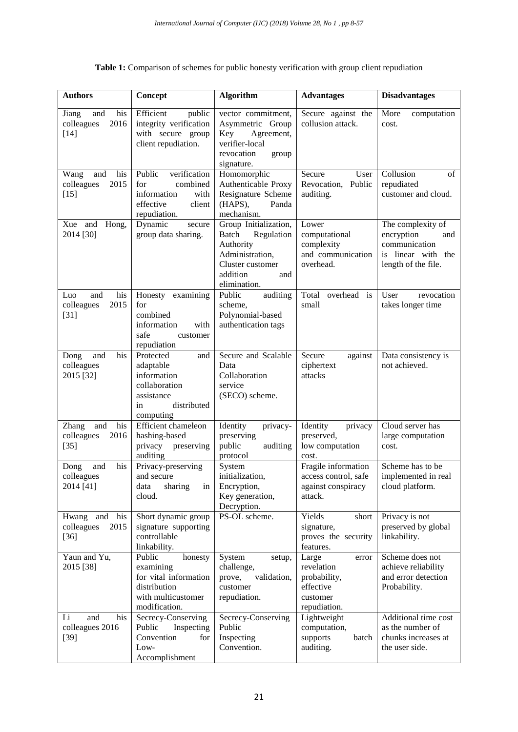| Table 1: Comparison of schemes for public honesty verification with group client repudiation |  |  |  |
|----------------------------------------------------------------------------------------------|--|--|--|
|----------------------------------------------------------------------------------------------|--|--|--|

| <b>Authors</b>                                             | Concept                                                                                                        | <b>Algorithm</b>                                                                                                                    | <b>Advantages</b>                                                                     | <b>Disadvantages</b>                                                                                 |
|------------------------------------------------------------|----------------------------------------------------------------------------------------------------------------|-------------------------------------------------------------------------------------------------------------------------------------|---------------------------------------------------------------------------------------|------------------------------------------------------------------------------------------------------|
| his<br>Jiang<br>and<br>colleagues<br>2016<br>$[14]$        | Efficient<br>public<br>integrity verification<br>with secure group<br>client repudiation.                      | vector commitment,<br>Asymmetric Group<br>Key<br>Agreement,<br>verifier-local<br>revocation<br>group<br>signature.                  | Secure against the<br>collusion attack.                                               | More<br>computation<br>cost.                                                                         |
| his<br>Wang<br>and<br>2015<br>colleagues<br>$[15]$         | verification<br>Public<br>combined<br>for<br>information<br>with<br>effective<br>client<br>repudiation.        | Homomorphic<br>Authenticable Proxy<br>Resignature Scheme<br>(HAPS),<br>Panda<br>mechanism.                                          | Secure<br>User<br>Revocation, Public<br>auditing.                                     | Collusion<br>of<br>repudiated<br>customer and cloud.                                                 |
| Xue and<br>Hong,<br>2014 [30]                              | Dynamic<br>secure<br>group data sharing.                                                                       | Group Initialization,<br>Batch<br>Regulation<br>Authority<br>Administration,<br>Cluster customer<br>addition<br>and<br>elimination. | Lower<br>computational<br>complexity<br>and communication<br>overhead.                | The complexity of<br>encryption<br>and<br>communication<br>is linear with the<br>length of the file. |
| his<br>Luo<br>and<br>colleagues<br>2015<br>$[31]$          | Honesty examining<br>for<br>combined<br>information<br>with<br>safe<br>customer<br>repudiation                 | Public<br>auditing<br>scheme,<br>Polynomial-based<br>authentication tags                                                            | Total overhead is<br>small                                                            | User<br>revocation<br>takes longer time                                                              |
| his<br>and<br>Dong<br>colleagues<br>2015 [32]              | Protected<br>and<br>adaptable<br>information<br>collaboration<br>assistance<br>distributed<br>in<br>computing  | Secure and Scalable<br>Data<br>Collaboration<br>service<br>(SECO) scheme.                                                           | Secure<br>against<br>ciphertext<br>attacks                                            | Data consistency is<br>not achieved.                                                                 |
| his<br><b>Zhang</b><br>and<br>2016<br>colleagues<br>$[35]$ | Efficient chameleon<br>hashing-based<br>privacy preserving<br>auditing                                         | Identity<br>privacy-<br>preserving<br>public<br>auditing<br>protocol                                                                | Identity<br>privacy<br>preserved,<br>low computation<br>cost.                         | Cloud server has<br>large computation<br>cost.                                                       |
| his<br>Dong<br>and<br>colleagues<br>2014 [41]              | Privacy-preserving<br>and secure<br>sharing<br>data<br>in<br>cloud.                                            | System<br>initialization,<br>Encryption,<br>Key generation,<br>Decryption.                                                          | Fragile information<br>access control, safe<br>against conspiracy<br>attack.          | Scheme has to be<br>implemented in real<br>cloud platform.                                           |
| Hwang and<br>his<br>colleagues<br>2015<br>$[36]$           | Short dynamic group<br>signature supporting<br>controllable<br>linkability.                                    | PS-OL scheme.                                                                                                                       | Yields<br>short<br>signature,<br>proves the security<br>features.                     | Privacy is not<br>preserved by global<br>linkability.                                                |
| Yaun and Yu,<br>2015 [38]                                  | Public<br>honesty<br>examining<br>for vital information<br>distribution<br>with multicustomer<br>modification. | System<br>setup,<br>challenge,<br>validation,<br>prove,<br>customer<br>repudiation.                                                 | Large<br>error<br>revelation<br>probability,<br>effective<br>customer<br>repudiation. | Scheme does not<br>achieve reliability<br>and error detection<br>Probability.                        |
| Li<br>and<br>his<br>colleagues 2016<br>$[39]$              | Secrecy-Conserving<br>Public<br>Inspecting<br>Convention<br>for<br>Low-<br>Accomplishment                      | Secrecy-Conserving<br>Public<br>Inspecting<br>Convention.                                                                           | Lightweight<br>computation,<br>supports<br>batch<br>auditing.                         | Additional time cost<br>as the number of<br>chunks increases at<br>the user side.                    |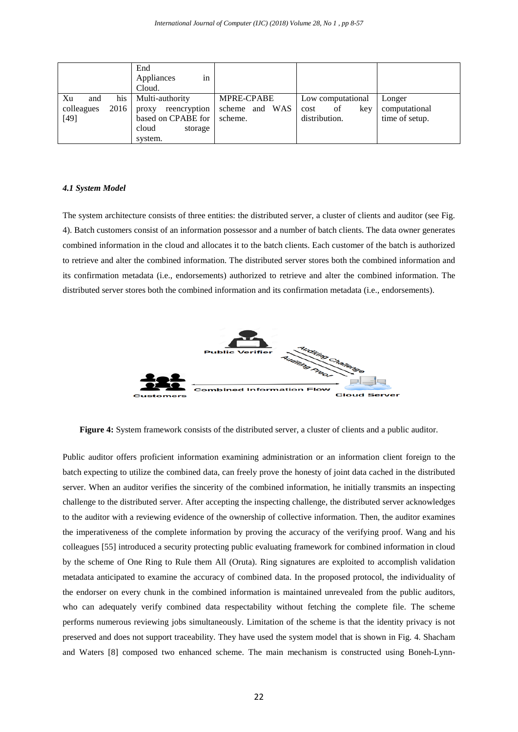|            |        | End                   |                |                   |                |
|------------|--------|-----------------------|----------------|-------------------|----------------|
|            |        | Appliances<br>1n      |                |                   |                |
|            |        | Cloud.                |                |                   |                |
| Xu<br>and  | his    | Multi-authority       | MPRE-CPABE     | Low computational | Longer         |
| colleagues | 2016 ' | reencryption<br>proxy | scheme and WAS | kev<br>of<br>cost | computational  |
| $[49]$     |        | based on CPABE for    | scheme.        | distribution.     | time of setup. |
|            |        | cloud<br>storage      |                |                   |                |
|            |        | system.               |                |                   |                |

#### *4.1 System Model*

The system architecture consists of three entities: the distributed server, a cluster of clients and auditor (see Fig. 4). Batch customers consist of an information possessor and a number of batch clients. The data owner generates combined information in the cloud and allocates it to the batch clients. Each customer of the batch is authorized to retrieve and alter the combined information. The distributed server stores both the combined information and its confirmation metadata (i.e., endorsements) authorized to retrieve and alter the combined information. The distributed server stores both the combined information and its confirmation metadata (i.e., endorsements).



**Figure 4:** System framework consists of the distributed server, a cluster of clients and a public auditor.

Public auditor offers proficient information examining administration or an information client foreign to the batch expecting to utilize the combined data, can freely prove the honesty of joint data cached in the distributed server. When an auditor verifies the sincerity of the combined information, he initially transmits an inspecting challenge to the distributed server. After accepting the inspecting challenge, the distributed server acknowledges to the auditor with a reviewing evidence of the ownership of collective information. Then, the auditor examines the imperativeness of the complete information by proving the accuracy of the verifying proof. Wang and his colleagues [55] introduced a security protecting public evaluating framework for combined information in cloud by the scheme of One Ring to Rule them All (Oruta). Ring signatures are exploited to accomplish validation metadata anticipated to examine the accuracy of combined data. In the proposed protocol, the individuality of the endorser on every chunk in the combined information is maintained unrevealed from the public auditors, who can adequately verify combined data respectability without fetching the complete file. The scheme performs numerous reviewing jobs simultaneously. Limitation of the scheme is that the identity privacy is not preserved and does not support traceability. They have used the system model that is shown in Fig. 4. Shacham and Waters [8] composed two enhanced scheme. The main mechanism is constructed using Boneh-Lynn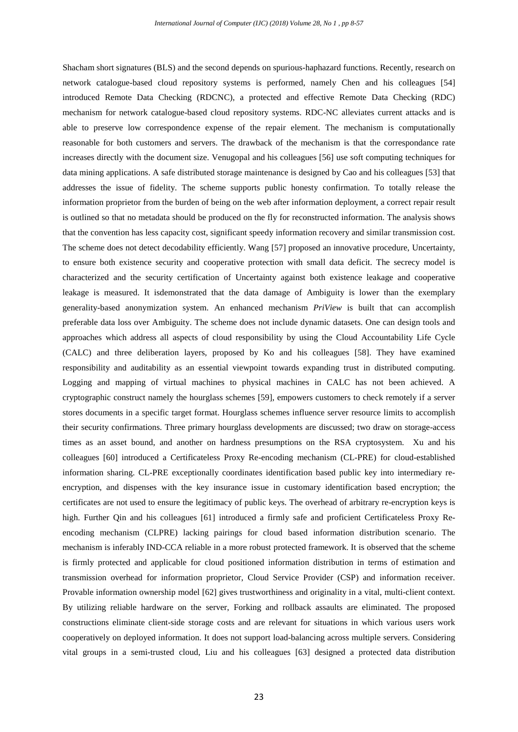Shacham short signatures (BLS) and the second depends on spurious-haphazard functions. Recently, research on network catalogue-based cloud repository systems is performed, namely Chen and his colleagues [54] introduced Remote Data Checking (RDCNC), a protected and effective Remote Data Checking (RDC) mechanism for network catalogue-based cloud repository systems. RDC-NC alleviates current attacks and is able to preserve low correspondence expense of the repair element. The mechanism is computationally reasonable for both customers and servers. The drawback of the mechanism is that the correspondance rate increases directly with the document size. Venugopal and his colleagues [56] use soft computing techniques for data mining applications. A safe distributed storage maintenance is designed by Cao and his colleagues [53] that addresses the issue of fidelity. The scheme supports public honesty confirmation. To totally release the information proprietor from the burden of being on the web after information deployment, a correct repair result is outlined so that no metadata should be produced on the fly for reconstructed information. The analysis shows that the convention has less capacity cost, significant speedy information recovery and similar transmission cost. The scheme does not detect decodability efficiently. Wang [57] proposed an innovative procedure, Uncertainty, to ensure both existence security and cooperative protection with small data deficit. The secrecy model is characterized and the security certification of Uncertainty against both existence leakage and cooperative leakage is measured. It isdemonstrated that the data damage of Ambiguity is lower than the exemplary generality-based anonymization system. An enhanced mechanism *PriView* is built that can accomplish preferable data loss over Ambiguity. The scheme does not include dynamic datasets. One can design tools and approaches which address all aspects of cloud responsibility by using the Cloud Accountability Life Cycle (CALC) and three deliberation layers, proposed by Ko and his colleagues [58]. They have examined responsibility and auditability as an essential viewpoint towards expanding trust in distributed computing. Logging and mapping of virtual machines to physical machines in CALC has not been achieved. A cryptographic construct namely the hourglass schemes [59], empowers customers to check remotely if a server stores documents in a specific target format. Hourglass schemes influence server resource limits to accomplish their security confirmations. Three primary hourglass developments are discussed; two draw on storage-access times as an asset bound, and another on hardness presumptions on the RSA cryptosystem. Xu and his colleagues [60] introduced a Certificateless Proxy Re-encoding mechanism (CL-PRE) for cloud-established information sharing. CL-PRE exceptionally coordinates identification based public key into intermediary reencryption, and dispenses with the key insurance issue in customary identification based encryption; the certificates are not used to ensure the legitimacy of public keys. The overhead of arbitrary re-encryption keys is high. Further Qin and his colleagues [61] introduced a firmly safe and proficient Certificateless Proxy Reencoding mechanism (CLPRE) lacking pairings for cloud based information distribution scenario. The mechanism is inferably IND-CCA reliable in a more robust protected framework. It is observed that the scheme is firmly protected and applicable for cloud positioned information distribution in terms of estimation and transmission overhead for information proprietor, Cloud Service Provider (CSP) and information receiver. Provable information ownership model [62] gives trustworthiness and originality in a vital, multi-client context. By utilizing reliable hardware on the server, Forking and rollback assaults are eliminated. The proposed constructions eliminate client-side storage costs and are relevant for situations in which various users work cooperatively on deployed information. It does not support load-balancing across multiple servers. Considering vital groups in a semi-trusted cloud, Liu and his colleagues [63] designed a protected data distribution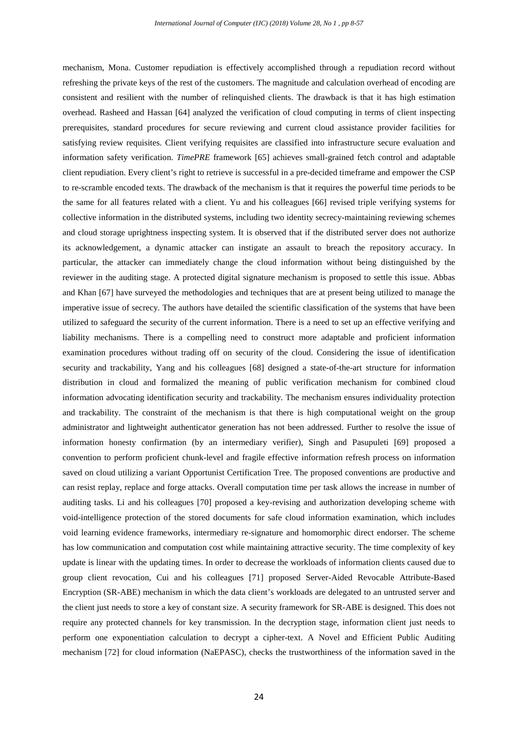mechanism, Mona. Customer repudiation is effectively accomplished through a repudiation record without refreshing the private keys of the rest of the customers. The magnitude and calculation overhead of encoding are consistent and resilient with the number of relinquished clients. The drawback is that it has high estimation overhead. Rasheed and Hassan [64] analyzed the verification of cloud computing in terms of client inspecting prerequisites, standard procedures for secure reviewing and current cloud assistance provider facilities for satisfying review requisites. Client verifying requisites are classified into infrastructure secure evaluation and information safety verification. *TimePRE* framework [65] achieves small-grained fetch control and adaptable client repudiation. Every client's right to retrieve is successful in a pre-decided timeframe and empower the CSP to re-scramble encoded texts. The drawback of the mechanism is that it requires the powerful time periods to be the same for all features related with a client. Yu and his colleagues [66] revised triple verifying systems for collective information in the distributed systems, including two identity secrecy-maintaining reviewing schemes and cloud storage uprightness inspecting system. It is observed that if the distributed server does not authorize its acknowledgement, a dynamic attacker can instigate an assault to breach the repository accuracy. In particular, the attacker can immediately change the cloud information without being distinguished by the reviewer in the auditing stage. A protected digital signature mechanism is proposed to settle this issue. Abbas and Khan [67] have surveyed the methodologies and techniques that are at present being utilized to manage the imperative issue of secrecy. The authors have detailed the scientific classification of the systems that have been utilized to safeguard the security of the current information. There is a need to set up an effective verifying and liability mechanisms. There is a compelling need to construct more adaptable and proficient information examination procedures without trading off on security of the cloud. Considering the issue of identification security and trackability, Yang and his colleagues [68] designed a state-of-the-art structure for information distribution in cloud and formalized the meaning of public verification mechanism for combined cloud information advocating identification security and trackability. The mechanism ensures individuality protection and trackability. The constraint of the mechanism is that there is high computational weight on the group administrator and lightweight authenticator generation has not been addressed. Further to resolve the issue of information honesty confirmation (by an intermediary verifier), Singh and Pasupuleti [69] proposed a convention to perform proficient chunk-level and fragile effective information refresh process on information saved on cloud utilizing a variant Opportunist Certification Tree. The proposed conventions are productive and can resist replay, replace and forge attacks. Overall computation time per task allows the increase in number of auditing tasks. Li and his colleagues [70] proposed a key-revising and authorization developing scheme with void-intelligence protection of the stored documents for safe cloud information examination, which includes void learning evidence frameworks, intermediary re-signature and homomorphic direct endorser. The scheme has low communication and computation cost while maintaining attractive security. The time complexity of key update is linear with the updating times. In order to decrease the workloads of information clients caused due to group client revocation, Cui and his colleagues [71] proposed Server-Aided Revocable Attribute-Based Encryption (SR-ABE) mechanism in which the data client's workloads are delegated to an untrusted server and the client just needs to store a key of constant size. A security framework for SR-ABE is designed. This does not require any protected channels for key transmission. In the decryption stage, information client just needs to perform one exponentiation calculation to decrypt a cipher-text. A Novel and Efficient Public Auditing mechanism [72] for cloud information (NaEPASC), checks the trustworthiness of the information saved in the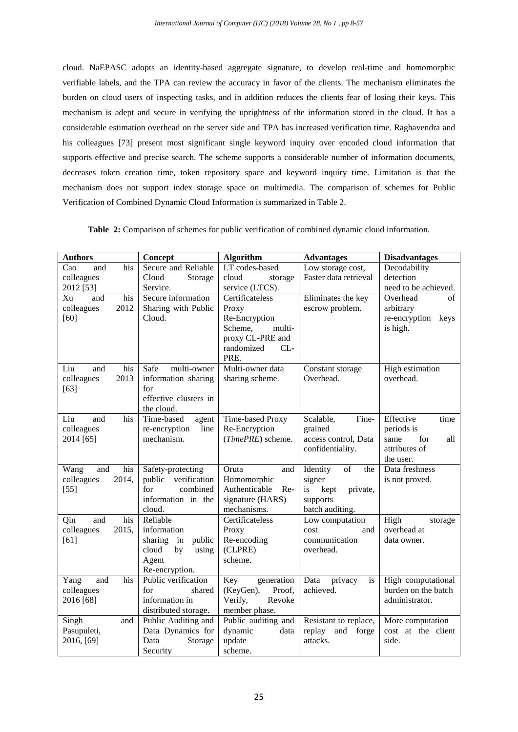cloud. NaEPASC adopts an identity-based aggregate signature, to develop real-time and homomorphic verifiable labels, and the TPA can review the accuracy in favor of the clients. The mechanism eliminates the burden on cloud users of inspecting tasks, and in addition reduces the clients fear of losing their keys. This mechanism is adept and secure in verifying the uprightness of the information stored in the cloud. It has a considerable estimation overhead on the server side and TPA has increased verification time. Raghavendra and his colleagues [73] present most significant single keyword inquiry over encoded cloud information that supports effective and precise search. The scheme supports a considerable number of information documents, decreases token creation time, token repository space and keyword inquiry time. Limitation is that the mechanism does not support index storage space on multimedia. The comparison of schemes for Public Verification of Combined Dynamic Cloud Information is summarized in Table 2.

|  |  |  |  |  |  |  | <b>Table 2:</b> Comparison of schemes for public verification of combined dynamic cloud information. |  |
|--|--|--|--|--|--|--|------------------------------------------------------------------------------------------------------|--|
|--|--|--|--|--|--|--|------------------------------------------------------------------------------------------------------|--|

| <b>Authors</b>      | Concept                               | <b>Algorithm</b>                     | <b>Advantages</b>                         | <b>Disadvantages</b>   |
|---------------------|---------------------------------------|--------------------------------------|-------------------------------------------|------------------------|
| Cao<br>his<br>and   | Secure and Reliable                   | LT codes-based                       | Low storage cost,                         | Decodability           |
| colleagues          | Cloud<br>Storage                      | cloud<br>storage                     | Faster data retrieval                     | detection              |
| 2012 [53]           | Service.                              | service (LTCS).                      |                                           | need to be achieved.   |
| Xu<br>his<br>and    | Secure information                    | Certificateless                      | Eliminates the key                        | Overhead<br>$\sigma$ f |
| 2012<br>colleagues  | Sharing with Public                   | Proxy                                | escrow problem.                           | arbitrary              |
| $[60]$              | Cloud.                                | Re-Encryption                        |                                           | re-encryption<br>keys  |
|                     |                                       | Scheme,<br>multi-                    |                                           | is high.               |
|                     |                                       | proxy CL-PRE and<br>randomized<br>CL |                                           |                        |
|                     |                                       | PRE.                                 |                                           |                        |
| Liu<br>his<br>and   | Safe<br>multi-owner                   | Multi-owner data                     | Constant storage                          | High estimation        |
| 2013<br>colleagues  | information sharing                   | sharing scheme.                      | Overhead.                                 | overhead.              |
| $[63]$              | for                                   |                                      |                                           |                        |
|                     | effective clusters in                 |                                      |                                           |                        |
|                     | the cloud.                            |                                      |                                           |                        |
| Liu<br>and<br>his   | Time-based<br>agent                   | Time-based Proxy                     | Scalable,<br>Fine-                        | Effective<br>time      |
| colleagues          | re-encryption<br>line                 | Re-Encryption                        | grained                                   | periods is             |
| 2014 [65]           | mechanism.                            | (TimePRE) scheme.                    | access control, Data                      | for<br>same<br>all     |
|                     |                                       |                                      | confidentiality.                          | attributes of          |
|                     |                                       |                                      |                                           | the user.              |
| Wang<br>his<br>and  | Safety-protecting                     | Oruta<br>and                         | $\overline{\text{of}}$<br>Identity<br>the | Data freshness         |
| colleagues<br>2014, | verification<br>public                | Homomorphic                          | signer                                    | is not proved.         |
| $[55]$              | for<br>combined<br>information in the | Authenticable<br>$Re-$               | private,<br>kept<br>is                    |                        |
|                     | cloud.                                | signature (HARS)<br>mechanisms.      | supports<br>batch auditing.               |                        |
| his<br>Qin<br>and   | Reliable                              | Certificateless                      | Low computation                           | High<br>storage        |
| colleagues<br>2015, | information                           | Proxy                                | and<br>cost                               | overhead at            |
| [61]                | sharing<br>in<br>public               | Re-encoding                          | communication                             | data owner.            |
|                     | cloud<br>by<br>using                  | (CLPRE)                              | overhead.                                 |                        |
|                     | Agent                                 | scheme.                              |                                           |                        |
|                     | Re-encryption.                        |                                      |                                           |                        |
| his<br>Yang<br>and  | Public verification                   | Key<br>generation                    | Data<br>privacy<br>is                     | High computational     |
| colleagues          | for<br>shared                         | (KeyGen),<br>Proof.                  | achieved.                                 | burden on the batch    |
| 2016 [68]           | information in                        | Verify,<br>Revoke                    |                                           | administrator.         |
|                     | distributed storage.                  | member phase.                        |                                           |                        |
| Singh<br>and        | Public Auditing and                   | Public auditing and                  | Resistant to replace,                     | More computation       |
| Pasupuleti,         | Data Dynamics for                     | dynamic<br>data                      | replay<br>and<br>forge                    | cost at the client     |
| 2016, [69]          | Data<br>Storage                       | update                               | attacks.                                  | side.                  |
|                     | Security                              | scheme.                              |                                           |                        |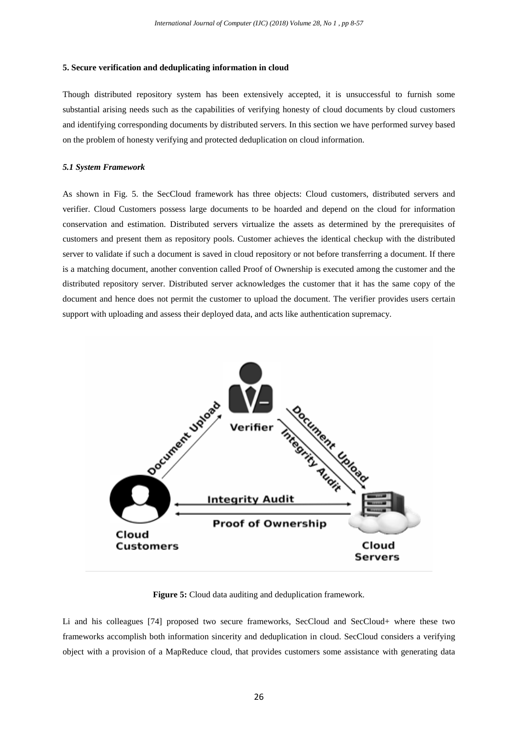## **5. Secure verification and deduplicating information in cloud**

Though distributed repository system has been extensively accepted, it is unsuccessful to furnish some substantial arising needs such as the capabilities of verifying honesty of cloud documents by cloud customers and identifying corresponding documents by distributed servers. In this section we have performed survey based on the problem of honesty verifying and protected deduplication on cloud information.

## *5.1 System Framework*

As shown in Fig. 5. the SecCloud framework has three objects: Cloud customers, distributed servers and verifier. Cloud Customers possess large documents to be hoarded and depend on the cloud for information conservation and estimation. Distributed servers virtualize the assets as determined by the prerequisites of customers and present them as repository pools. Customer achieves the identical checkup with the distributed server to validate if such a document is saved in cloud repository or not before transferring a document. If there is a matching document, another convention called Proof of Ownership is executed among the customer and the distributed repository server. Distributed server acknowledges the customer that it has the same copy of the document and hence does not permit the customer to upload the document. The verifier provides users certain support with uploading and assess their deployed data, and acts like authentication supremacy.



**Figure 5:** Cloud data auditing and deduplication framework.

Li and his colleagues [74] proposed two secure frameworks, SecCloud and SecCloud+ where these two frameworks accomplish both information sincerity and deduplication in cloud. SecCloud considers a verifying object with a provision of a MapReduce cloud, that provides customers some assistance with generating data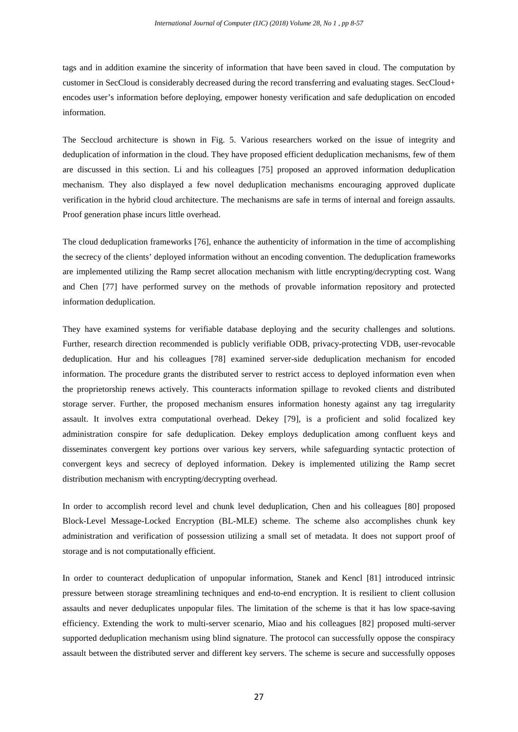tags and in addition examine the sincerity of information that have been saved in cloud. The computation by customer in SecCloud is considerably decreased during the record transferring and evaluating stages. SecCloud+ encodes user's information before deploying, empower honesty verification and safe deduplication on encoded information.

The Seccloud architecture is shown in Fig. 5. Various researchers worked on the issue of integrity and deduplication of information in the cloud. They have proposed efficient deduplication mechanisms, few of them are discussed in this section. Li and his colleagues [75] proposed an approved information deduplication mechanism. They also displayed a few novel deduplication mechanisms encouraging approved duplicate verification in the hybrid cloud architecture. The mechanisms are safe in terms of internal and foreign assaults. Proof generation phase incurs little overhead.

The cloud deduplication frameworks [76], enhance the authenticity of information in the time of accomplishing the secrecy of the clients' deployed information without an encoding convention. The deduplication frameworks are implemented utilizing the Ramp secret allocation mechanism with little encrypting/decrypting cost. Wang and Chen [77] have performed survey on the methods of provable information repository and protected information deduplication.

They have examined systems for verifiable database deploying and the security challenges and solutions. Further, research direction recommended is publicly verifiable ODB, privacy-protecting VDB, user-revocable deduplication. Hur and his colleagues [78] examined server-side deduplication mechanism for encoded information. The procedure grants the distributed server to restrict access to deployed information even when the proprietorship renews actively. This counteracts information spillage to revoked clients and distributed storage server. Further, the proposed mechanism ensures information honesty against any tag irregularity assault. It involves extra computational overhead. Dekey [79], is a proficient and solid focalized key administration conspire for safe deduplication. Dekey employs deduplication among confluent keys and disseminates convergent key portions over various key servers, while safeguarding syntactic protection of convergent keys and secrecy of deployed information. Dekey is implemented utilizing the Ramp secret distribution mechanism with encrypting/decrypting overhead.

In order to accomplish record level and chunk level deduplication, Chen and his colleagues [80] proposed Block-Level Message-Locked Encryption (BL-MLE) scheme. The scheme also accomplishes chunk key administration and verification of possession utilizing a small set of metadata. It does not support proof of storage and is not computationally efficient.

In order to counteract deduplication of unpopular information, Stanek and Kencl [81] introduced intrinsic pressure between storage streamlining techniques and end-to-end encryption. It is resilient to client collusion assaults and never deduplicates unpopular files. The limitation of the scheme is that it has low space-saving efficiency. Extending the work to multi-server scenario, Miao and his colleagues [82] proposed multi-server supported deduplication mechanism using blind signature. The protocol can successfully oppose the conspiracy assault between the distributed server and different key servers. The scheme is secure and successfully opposes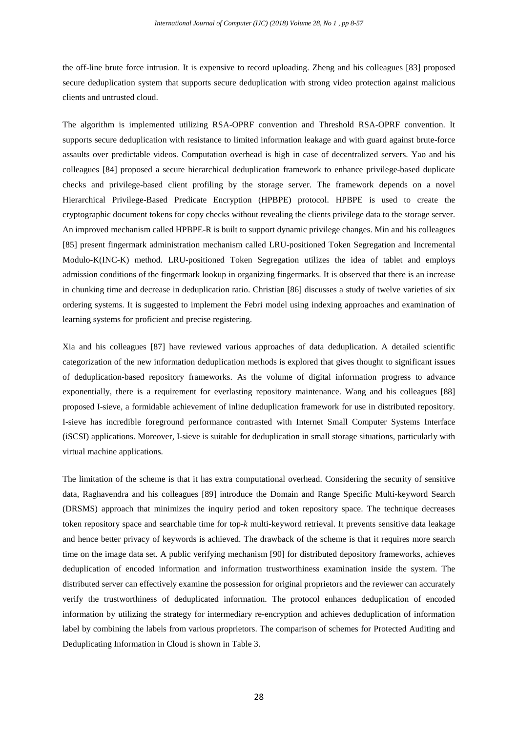the off-line brute force intrusion. It is expensive to record uploading. Zheng and his colleagues [83] proposed secure deduplication system that supports secure deduplication with strong video protection against malicious clients and untrusted cloud.

The algorithm is implemented utilizing RSA-OPRF convention and Threshold RSA-OPRF convention. It supports secure deduplication with resistance to limited information leakage and with guard against brute-force assaults over predictable videos. Computation overhead is high in case of decentralized servers. Yao and his colleagues [84] proposed a secure hierarchical deduplication framework to enhance privilege-based duplicate checks and privilege-based client profiling by the storage server. The framework depends on a novel Hierarchical Privilege-Based Predicate Encryption (HPBPE) protocol. HPBPE is used to create the cryptographic document tokens for copy checks without revealing the clients privilege data to the storage server. An improved mechanism called HPBPE-R is built to support dynamic privilege changes. Min and his colleagues [85] present fingermark administration mechanism called LRU-positioned Token Segregation and Incremental Modulo-K(INC-K) method. LRU-positioned Token Segregation utilizes the idea of tablet and employs admission conditions of the fingermark lookup in organizing fingermarks. It is observed that there is an increase in chunking time and decrease in deduplication ratio. Christian [86] discusses a study of twelve varieties of six ordering systems. It is suggested to implement the Febri model using indexing approaches and examination of learning systems for proficient and precise registering.

Xia and his colleagues [87] have reviewed various approaches of data deduplication. A detailed scientific categorization of the new information deduplication methods is explored that gives thought to significant issues of deduplication-based repository frameworks. As the volume of digital information progress to advance exponentially, there is a requirement for everlasting repository maintenance. Wang and his colleagues [88] proposed I-sieve, a formidable achievement of inline deduplication framework for use in distributed repository. I-sieve has incredible foreground performance contrasted with Internet Small Computer Systems Interface (iSCSI) applications. Moreover, I-sieve is suitable for deduplication in small storage situations, particularly with virtual machine applications.

The limitation of the scheme is that it has extra computational overhead. Considering the security of sensitive data, Raghavendra and his colleagues [89] introduce the Domain and Range Specific Multi-keyword Search (DRSMS) approach that minimizes the inquiry period and token repository space. The technique decreases token repository space and searchable time for top-*k* multi*-*keyword retrieval. It prevents sensitive data leakage and hence better privacy of keywords is achieved. The drawback of the scheme is that it requires more search time on the image data set. A public verifying mechanism [90] for distributed depository frameworks, achieves deduplication of encoded information and information trustworthiness examination inside the system. The distributed server can effectively examine the possession for original proprietors and the reviewer can accurately verify the trustworthiness of deduplicated information. The protocol enhances deduplication of encoded information by utilizing the strategy for intermediary re-encryption and achieves deduplication of information label by combining the labels from various proprietors. The comparison of schemes for Protected Auditing and Deduplicating Information in Cloud is shown in Table 3.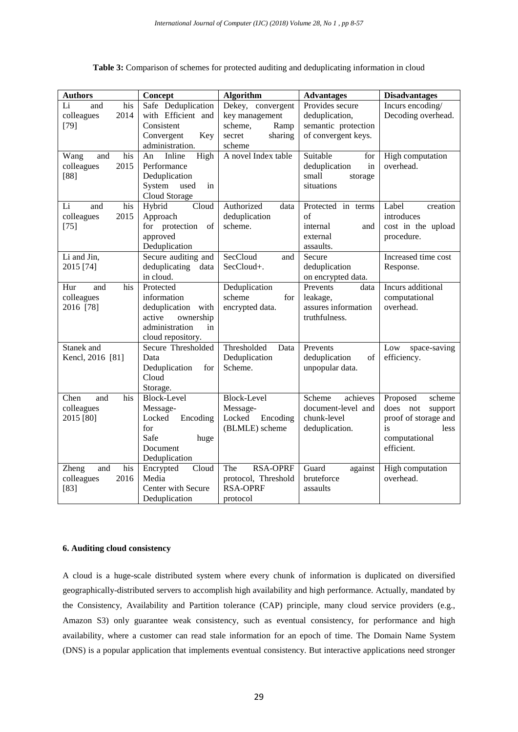| <b>Authors</b>      | Concept               | <b>Algorithm</b>       | <b>Advantages</b>   | <b>Disadvantages</b> |
|---------------------|-----------------------|------------------------|---------------------|----------------------|
| Li<br>his<br>and    | Safe Deduplication    | Dekey, convergent      | Provides secure     | Incurs encoding/     |
| 2014<br>colleagues  | with Efficient and    | key management         | deduplication,      | Decoding overhead.   |
| $[79]$              | Consistent            | scheme,<br>Ramp        | semantic protection |                      |
|                     | Convergent<br>Key     | sharing<br>secret      | of convergent keys. |                      |
|                     | administration.       | scheme                 |                     |                      |
| his<br>Wang<br>and  | Inline<br>High<br>An  | A novel Index table    | Suitable<br>for     | High computation     |
| 2015<br>colleagues  | Performance           |                        | deduplication<br>in | overhead.            |
| $[88]$              | Deduplication         |                        | small<br>storage    |                      |
|                     | System<br>used<br>in  |                        | situations          |                      |
|                     | Cloud Storage         |                        |                     |                      |
| Li<br>his<br>and    | Hybrid<br>Cloud       | Authorized<br>data     | Protected in terms  | Label<br>creation    |
| 2015<br>colleagues  | Approach              | deduplication          | of                  | introduces           |
| $[75]$              | for protection<br>of  | scheme.                | internal<br>and     | cost in the upload   |
|                     | approved              |                        | external            | procedure.           |
|                     | Deduplication         |                        | assaults.           |                      |
| Li and Jin,         | Secure auditing and   | SecCloud<br>and        | Secure              | Increased time cost  |
| 2015 [74]           | deduplicating<br>data | SecCloud+.             | deduplication       | Response.            |
|                     | in cloud.             |                        | on encrypted data.  |                      |
| his<br>Hur<br>and   | Protected             | Deduplication          | Prevents<br>data    | Incurs additional    |
| colleagues          | information           | scheme<br>for          | leakage,            | computational        |
| 2016 [78]           | deduplication with    | encrypted data.        | assures information | overhead.            |
|                     | active<br>ownership   |                        | truthfulness.       |                      |
|                     | administration<br>in  |                        |                     |                      |
|                     | cloud repository.     |                        |                     |                      |
| Stanek and          | Secure Thresholded    | Thresholded<br>Data    | Prevents            | Low<br>space-saving  |
| Kencl, 2016 [81]    | Data                  | Deduplication          | deduplication<br>of | efficiency.          |
|                     | Deduplication<br>for  | Scheme.                | unpopular data.     |                      |
|                     | Cloud                 |                        |                     |                      |
|                     | Storage.              |                        |                     |                      |
| his<br>Chen<br>and  | <b>Block-Level</b>    | <b>Block-Level</b>     | Scheme<br>achieves  | Proposed<br>scheme   |
| colleagues          | Message-              | Message-               | document-level and  | does not<br>support  |
| 2015 [80]           | Locked<br>Encoding    | Locked<br>Encoding     | chunk-level         | proof of storage and |
|                     | for                   | (BLMLE) scheme         | deduplication.      | is<br>less           |
|                     | Safe<br>huge          |                        |                     | computational        |
|                     | Document              |                        |                     | efficient.           |
|                     | Deduplication         |                        |                     |                      |
| his<br>and<br>Zheng | Cloud<br>Encrypted    | <b>RSA-OPRF</b><br>The | Guard<br>against    | High computation     |
| colleagues<br>2016  | Media                 | protocol, Threshold    | bruteforce          | overhead.            |
| $[83]$              | Center with Secure    | <b>RSA-OPRF</b>        | assaults            |                      |
|                     | Deduplication         | protocol               |                     |                      |

**Table 3:** Comparison of schemes for protected auditing and deduplicating information in cloud

# **6. Auditing cloud consistency**

A cloud is a huge-scale distributed system where every chunk of information is duplicated on diversified geographically-distributed servers to accomplish high availability and high performance. Actually, mandated by the Consistency, Availability and Partition tolerance (CAP) principle, many cloud service providers (e.g., Amazon S3) only guarantee weak consistency, such as eventual consistency, for performance and high availability, where a customer can read stale information for an epoch of time. The Domain Name System (DNS) is a popular application that implements eventual consistency. But interactive applications need stronger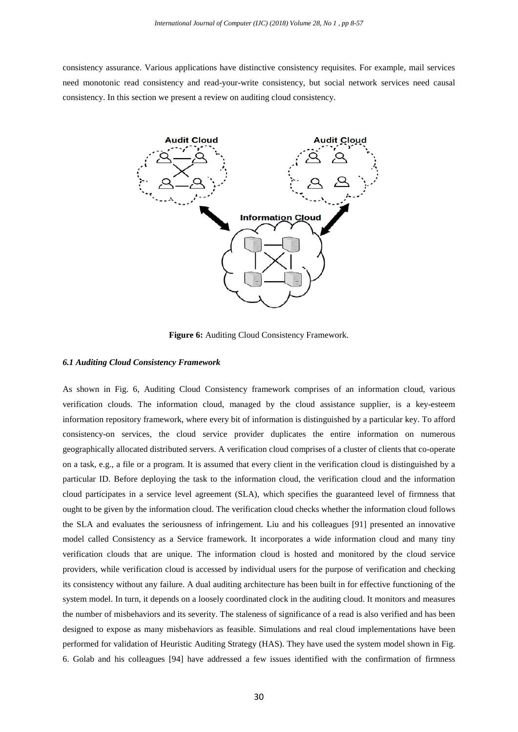consistency assurance. Various applications have distinctive consistency requisites. For example, mail services need monotonic read consistency and read-your-write consistency, but social network services need causal consistency. In this section we present a review on auditing cloud consistency.



**Figure 6:** Auditing Cloud Consistency Framework.

#### *6.1 Auditing Cloud Consistency Framework*

As shown in Fig. 6, Auditing Cloud Consistency framework comprises of an information cloud, various verification clouds. The information cloud, managed by the cloud assistance supplier, is a key-esteem information repository framework, where every bit of information is distinguished by a particular key. To afford consistency-on services, the cloud service provider duplicates the entire information on numerous geographically allocated distributed servers. A verification cloud comprises of a cluster of clients that co-operate on a task, e.g., a file or a program. It is assumed that every client in the verification cloud is distinguished by a particular ID. Before deploying the task to the information cloud, the verification cloud and the information cloud participates in a service level agreement (SLA), which specifies the guaranteed level of firmness that ought to be given by the information cloud. The verification cloud checks whether the information cloud follows the SLA and evaluates the seriousness of infringement. Liu and his colleagues [91] presented an innovative model called Consistency as a Service framework. It incorporates a wide information cloud and many tiny verification clouds that are unique. The information cloud is hosted and monitored by the cloud service providers, while verification cloud is accessed by individual users for the purpose of verification and checking its consistency without any failure. A dual auditing architecture has been built in for effective functioning of the system model. In turn, it depends on a loosely coordinated clock in the auditing cloud. It monitors and measures the number of misbehaviors and its severity. The staleness of significance of a read is also verified and has been designed to expose as many misbehaviors as feasible. Simulations and real cloud implementations have been performed for validation of Heuristic Auditing Strategy (HAS). They have used the system model shown in Fig. 6. Golab and his colleagues [94] have addressed a few issues identified with the confirmation of firmness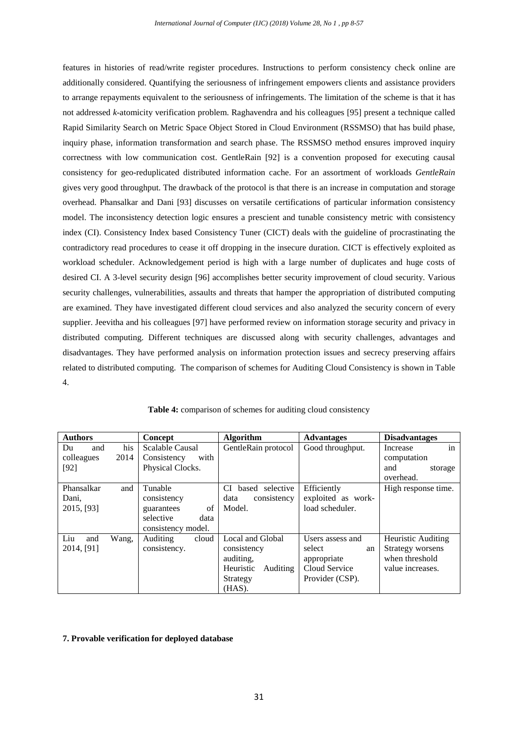features in histories of read/write register procedures. Instructions to perform consistency check online are additionally considered. Quantifying the seriousness of infringement empowers clients and assistance providers to arrange repayments equivalent to the seriousness of infringements. The limitation of the scheme is that it has not addressed *k*-atomicity verification problem. Raghavendra and his colleagues [95] present a technique called Rapid Similarity Search on Metric Space Object Stored in Cloud Environment (RSSMSO) that has build phase, inquiry phase, information transformation and search phase. The RSSMSO method ensures improved inquiry correctness with low communication cost. GentleRain [92] is a convention proposed for executing causal consistency for geo-reduplicated distributed information cache. For an assortment of workloads *GentleRain*  gives very good throughput. The drawback of the protocol is that there is an increase in computation and storage overhead. Phansalkar and Dani [93] discusses on versatile certifications of particular information consistency model. The inconsistency detection logic ensures a prescient and tunable consistency metric with consistency index (CI). Consistency Index based Consistency Tuner (CICT) deals with the guideline of procrastinating the contradictory read procedures to cease it off dropping in the insecure duration. CICT is effectively exploited as workload scheduler. Acknowledgement period is high with a large number of duplicates and huge costs of desired CI. A 3-level security design [96] accomplishes better security improvement of cloud security. Various security challenges, vulnerabilities, assaults and threats that hamper the appropriation of distributed computing are examined. They have investigated different cloud services and also analyzed the security concern of every supplier. Jeevitha and his colleagues [97] have performed review on information storage security and privacy in distributed computing. Different techniques are discussed along with security challenges, advantages and disadvantages. They have performed analysis on information protection issues and secrecy preserving affairs related to distributed computing. The comparison of schemes for Auditing Cloud Consistency is shown in Table 4.

| <b>Authors</b> |       | <b>Concept</b>           | <b>Algorithm</b>      | <b>Advantages</b>  | <b>Disadvantages</b> |
|----------------|-------|--------------------------|-----------------------|--------------------|----------------------|
| Du<br>and      | his   | <b>Scalable Causal</b>   | GentleRain protocol   | Good throughput.   | in<br>Increase       |
| colleagues     | 2014  | Consistency<br>with      |                       |                    | computation          |
| $[92]$         |       | Physical Clocks.         |                       |                    | and<br>storage       |
|                |       |                          |                       |                    | overhead.            |
| Phansalkar     | and   | Tunable                  | CI based selective    | Efficiently        | High response time.  |
| Dani,          |       | consistency              | data<br>consistency   | exploited as work- |                      |
| 2015, [93]     |       | of<br>guarantees         | Model.                | load scheduler.    |                      |
|                |       | selective<br>data        |                       |                    |                      |
|                |       | consistency model.       |                       |                    |                      |
| Liu<br>and     | Wang, | <b>Auditing</b><br>cloud | Local and Global      | Users assess and   | Heuristic Auditing   |
| 2014, [91]     |       | consistency.             | consistency           | select<br>an       | Strategy worsens     |
|                |       |                          | auditing,             | appropriate        | when threshold       |
|                |       |                          | Heuristic<br>Auditing | Cloud Service      | value increases.     |
|                |       |                          | Strategy              | Provider (CSP).    |                      |
|                |       |                          | $(HAS)$ .             |                    |                      |

|  | Table 4: comparison of schemes for auditing cloud consistency |  |  |  |
|--|---------------------------------------------------------------|--|--|--|
|  |                                                               |  |  |  |

#### **7. Provable verification for deployed database**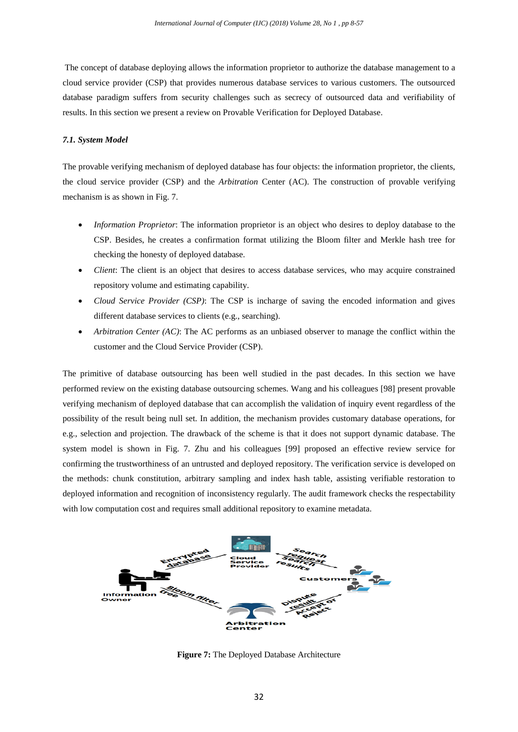The concept of database deploying allows the information proprietor to authorize the database management to a cloud service provider (CSP) that provides numerous database services to various customers. The outsourced database paradigm suffers from security challenges such as secrecy of outsourced data and verifiability of results. In this section we present a review on Provable Verification for Deployed Database.

## *7.1. System Model*

The provable verifying mechanism of deployed database has four objects: the information proprietor, the clients, the cloud service provider (CSP) and the *Arbitration* Center (AC). The construction of provable verifying mechanism is as shown in Fig. 7.

- *Information Proprietor*: The information proprietor is an object who desires to deploy database to the CSP. Besides, he creates a confirmation format utilizing the Bloom filter and Merkle hash tree for checking the honesty of deployed database.
- *Client*: The client is an object that desires to access database services, who may acquire constrained repository volume and estimating capability.
- *Cloud Service Provider (CSP)*: The CSP is incharge of saving the encoded information and gives different database services to clients (e.g., searching).
- *Arbitration Center (AC)*: The AC performs as an unbiased observer to manage the conflict within the customer and the Cloud Service Provider (CSP).

The primitive of database outsourcing has been well studied in the past decades. In this section we have performed review on the existing database outsourcing schemes. Wang and his colleagues [98] present provable verifying mechanism of deployed database that can accomplish the validation of inquiry event regardless of the possibility of the result being null set. In addition, the mechanism provides customary database operations, for e.g., selection and projection. The drawback of the scheme is that it does not support dynamic database. The system model is shown in Fig. 7. Zhu and his colleagues [99] proposed an effective review service for confirming the trustworthiness of an untrusted and deployed repository. The verification service is developed on the methods: chunk constitution, arbitrary sampling and index hash table, assisting verifiable restoration to deployed information and recognition of inconsistency regularly. The audit framework checks the respectability with low computation cost and requires small additional repository to examine metadata.



**Figure 7:** The Deployed Database Architecture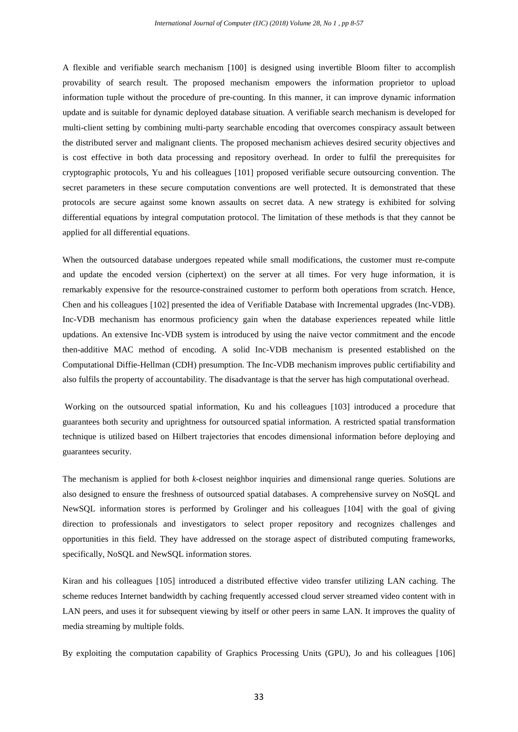A flexible and verifiable search mechanism [100] is designed using invertible Bloom filter to accomplish provability of search result. The proposed mechanism empowers the information proprietor to upload information tuple without the procedure of pre-counting. In this manner, it can improve dynamic information update and is suitable for dynamic deployed database situation. A verifiable search mechanism is developed for multi-client setting by combining multi-party searchable encoding that overcomes conspiracy assault between the distributed server and malignant clients. The proposed mechanism achieves desired security objectives and is cost effective in both data processing and repository overhead. In order to fulfil the prerequisites for cryptographic protocols, Yu and his colleagues [101] proposed verifiable secure outsourcing convention. The secret parameters in these secure computation conventions are well protected. It is demonstrated that these protocols are secure against some known assaults on secret data. A new strategy is exhibited for solving differential equations by integral computation protocol. The limitation of these methods is that they cannot be applied for all differential equations.

When the outsourced database undergoes repeated while small modifications, the customer must re-compute and update the encoded version (ciphertext) on the server at all times. For very huge information, it is remarkably expensive for the resource-constrained customer to perform both operations from scratch. Hence, Chen and his colleagues [102] presented the idea of Verifiable Database with Incremental upgrades (Inc-VDB). Inc-VDB mechanism has enormous proficiency gain when the database experiences repeated while little updations. An extensive Inc-VDB system is introduced by using the naive vector commitment and the encode then-additive MAC method of encoding. A solid Inc-VDB mechanism is presented established on the Computational Diffie-Hellman (CDH) presumption. The Inc-VDB mechanism improves public certifiability and also fulfils the property of accountability. The disadvantage is that the server has high computational overhead.

Working on the outsourced spatial information, Ku and his colleagues [103] introduced a procedure that guarantees both security and uprightness for outsourced spatial information. A restricted spatial transformation technique is utilized based on Hilbert trajectories that encodes dimensional information before deploying and guarantees security.

The mechanism is applied for both *k*-closest neighbor inquiries and dimensional range queries. Solutions are also designed to ensure the freshness of outsourced spatial databases. A comprehensive survey on NoSQL and NewSQL information stores is performed by Grolinger and his colleagues [104] with the goal of giving direction to professionals and investigators to select proper repository and recognizes challenges and opportunities in this field. They have addressed on the storage aspect of distributed computing frameworks, specifically, NoSQL and NewSQL information stores.

Kiran and his colleagues [105] introduced a distributed effective video transfer utilizing LAN caching. The scheme reduces Internet bandwidth by caching frequently accessed cloud server streamed video content with in LAN peers, and uses it for subsequent viewing by itself or other peers in same LAN. It improves the quality of media streaming by multiple folds.

By exploiting the computation capability of Graphics Processing Units (GPU), Jo and his colleagues [106]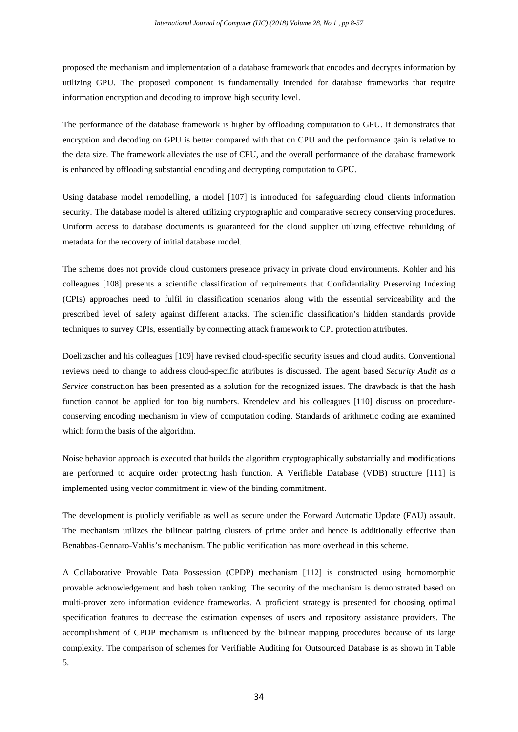proposed the mechanism and implementation of a database framework that encodes and decrypts information by utilizing GPU. The proposed component is fundamentally intended for database frameworks that require information encryption and decoding to improve high security level.

The performance of the database framework is higher by offloading computation to GPU. It demonstrates that encryption and decoding on GPU is better compared with that on CPU and the performance gain is relative to the data size. The framework alleviates the use of CPU, and the overall performance of the database framework is enhanced by offloading substantial encoding and decrypting computation to GPU.

Using database model remodelling, a model [107] is introduced for safeguarding cloud clients information security. The database model is altered utilizing cryptographic and comparative secrecy conserving procedures. Uniform access to database documents is guaranteed for the cloud supplier utilizing effective rebuilding of metadata for the recovery of initial database model.

The scheme does not provide cloud customers presence privacy in private cloud environments. Kohler and his colleagues [108] presents a scientific classification of requirements that Confidentiality Preserving Indexing (CPIs) approaches need to fulfil in classification scenarios along with the essential serviceability and the prescribed level of safety against different attacks. The scientific classification's hidden standards provide techniques to survey CPIs, essentially by connecting attack framework to CPI protection attributes.

Doelitzscher and his colleagues [109] have revised cloud-specific security issues and cloud audits. Conventional reviews need to change to address cloud-specific attributes is discussed. The agent based *Security Audit as a Service* construction has been presented as a solution for the recognized issues. The drawback is that the hash function cannot be applied for too big numbers. Krendelev and his colleagues [110] discuss on procedureconserving encoding mechanism in view of computation coding. Standards of arithmetic coding are examined which form the basis of the algorithm.

Noise behavior approach is executed that builds the algorithm cryptographically substantially and modifications are performed to acquire order protecting hash function. A Verifiable Database (VDB) structure [111] is implemented using vector commitment in view of the binding commitment.

The development is publicly verifiable as well as secure under the Forward Automatic Update (FAU) assault. The mechanism utilizes the bilinear pairing clusters of prime order and hence is additionally effective than Benabbas-Gennaro-Vahlis's mechanism. The public verification has more overhead in this scheme.

A Collaborative Provable Data Possession (CPDP) mechanism [112] is constructed using homomorphic provable acknowledgement and hash token ranking. The security of the mechanism is demonstrated based on multi-prover zero information evidence frameworks. A proficient strategy is presented for choosing optimal specification features to decrease the estimation expenses of users and repository assistance providers. The accomplishment of CPDP mechanism is influenced by the bilinear mapping procedures because of its large complexity. The comparison of schemes for Verifiable Auditing for Outsourced Database is as shown in Table 5.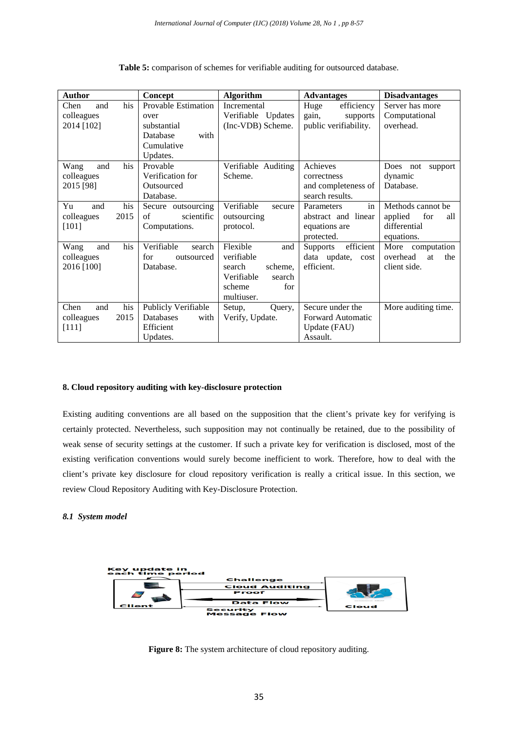| Author                                            | Concept                                                                                         | <b>Algorithm</b>                                                                                          | <b>Advantages</b>                                                        | <b>Disadvantages</b>                                                     |
|---------------------------------------------------|-------------------------------------------------------------------------------------------------|-----------------------------------------------------------------------------------------------------------|--------------------------------------------------------------------------|--------------------------------------------------------------------------|
| his<br>Chen<br>and<br>colleagues<br>2014 [102]    | <b>Provable Estimation</b><br>over<br>substantial<br>Database<br>with<br>Cumulative<br>Updates. | Incremental<br>Verifiable Updates<br>(Inc-VDB) Scheme.                                                    | Huge<br>efficiency<br>gain,<br>supports<br>public verifiability.         | Server has more<br>Computational<br>overhead.                            |
| his<br>Wang<br>and<br>colleagues<br>2015 [98]     | Provable<br>Verification for<br>Outsourced<br>Database.                                         | Verifiable Auditing<br>Scheme.                                                                            | Achieves<br>correctness<br>and completeness of<br>search results.        | Does<br>support<br>not<br>dynamic<br>Database.                           |
| his<br>Yu<br>and<br>2015<br>colleagues<br>$[101]$ | Secure outsourcing<br>scientific<br>of<br>Computations.                                         | Verifiable<br>secure<br>outsourcing<br>protocol.                                                          | in<br>Parameters<br>abstract and linear<br>equations are<br>protected.   | Methods cannot be<br>applied<br>for<br>all<br>differential<br>equations. |
| his<br>Wang<br>and<br>colleagues<br>2016 [100]    | Verifiable<br>search<br>for<br>outsourced<br>Database.                                          | Flexible<br>and<br>verifiable<br>scheme.<br>search<br>Verifiable<br>search<br>scheme<br>for<br>multiuser. | efficient<br><b>Supports</b><br>data update,<br>cost<br>efficient.       | computation<br>More<br>overhead<br>at<br>the<br>client side.             |
| his<br>Chen<br>and<br>2015<br>colleagues<br>[111] | Publicly Verifiable<br>Databases<br>with<br>Efficient<br>Updates.                               | Setup,<br>Query,<br>Verify, Update.                                                                       | Secure under the<br><b>Forward Automatic</b><br>Update (FAU)<br>Assault. | More auditing time.                                                      |

**Table 5:** comparison of schemes for verifiable auditing for outsourced database.

# **8. Cloud repository auditing with key-disclosure protection**

Existing auditing conventions are all based on the supposition that the client's private key for verifying is certainly protected. Nevertheless, such supposition may not continually be retained, due to the possibility of weak sense of security settings at the customer. If such a private key for verification is disclosed, most of the existing verification conventions would surely become inefficient to work. Therefore, how to deal with the client's private key disclosure for cloud repository verification is really a critical issue. In this section, we review Cloud Repository Auditing with Key-Disclosure Protection.

# *8.1 System model*



**Figure 8:** The system architecture of cloud repository auditing.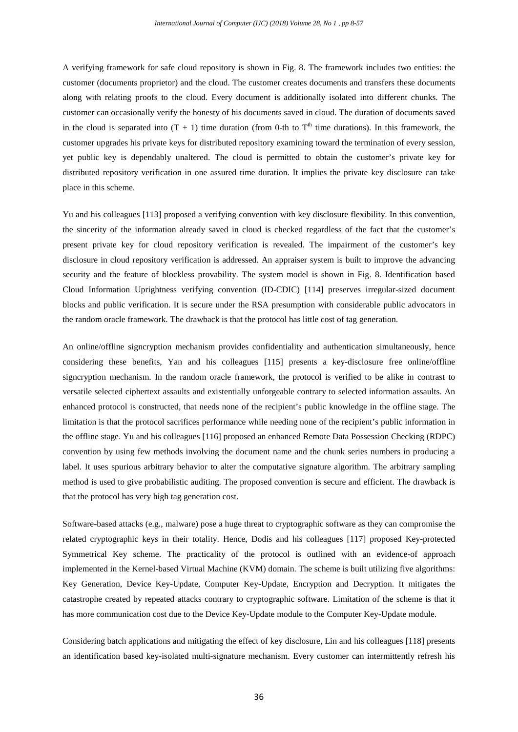A verifying framework for safe cloud repository is shown in Fig. 8. The framework includes two entities: the customer (documents proprietor) and the cloud. The customer creates documents and transfers these documents along with relating proofs to the cloud. Every document is additionally isolated into different chunks. The customer can occasionally verify the honesty of his documents saved in cloud. The duration of documents saved in the cloud is separated into  $(T + 1)$  time duration (from 0-th to  $T<sup>th</sup>$  time durations). In this framework, the customer upgrades his private keys for distributed repository examining toward the termination of every session, yet public key is dependably unaltered. The cloud is permitted to obtain the customer's private key for distributed repository verification in one assured time duration. It implies the private key disclosure can take place in this scheme.

Yu and his colleagues [113] proposed a verifying convention with key disclosure flexibility. In this convention, the sincerity of the information already saved in cloud is checked regardless of the fact that the customer's present private key for cloud repository verification is revealed. The impairment of the customer's key disclosure in cloud repository verification is addressed. An appraiser system is built to improve the advancing security and the feature of blockless provability. The system model is shown in Fig. 8. Identification based Cloud Information Uprightness verifying convention (ID-CDIC) [114] preserves irregular-sized document blocks and public verification. It is secure under the RSA presumption with considerable public advocators in the random oracle framework. The drawback is that the protocol has little cost of tag generation.

An online/offline signcryption mechanism provides confidentiality and authentication simultaneously, hence considering these benefits, Yan and his colleagues [115] presents a key-disclosure free online/offline signcryption mechanism. In the random oracle framework, the protocol is verified to be alike in contrast to versatile selected ciphertext assaults and existentially unforgeable contrary to selected information assaults. An enhanced protocol is constructed, that needs none of the recipient's public knowledge in the offline stage. The limitation is that the protocol sacrifices performance while needing none of the recipient's public information in the offline stage. Yu and his colleagues [116] proposed an enhanced Remote Data Possession Checking (RDPC) convention by using few methods involving the document name and the chunk series numbers in producing a label. It uses spurious arbitrary behavior to alter the computative signature algorithm. The arbitrary sampling method is used to give probabilistic auditing. The proposed convention is secure and efficient. The drawback is that the protocol has very high tag generation cost.

Software-based attacks (e.g., malware) pose a huge threat to cryptographic software as they can compromise the related cryptographic keys in their totality. Hence, Dodis and his colleagues [117] proposed Key-protected Symmetrical Key scheme. The practicality of the protocol is outlined with an evidence-of approach implemented in the Kernel-based Virtual Machine (KVM) domain. The scheme is built utilizing five algorithms: Key Generation, Device Key-Update, Computer Key-Update, Encryption and Decryption. It mitigates the catastrophe created by repeated attacks contrary to cryptographic software. Limitation of the scheme is that it has more communication cost due to the Device Key-Update module to the Computer Key-Update module.

Considering batch applications and mitigating the effect of key disclosure, Lin and his colleagues [118] presents an identification based key-isolated multi-signature mechanism. Every customer can intermittently refresh his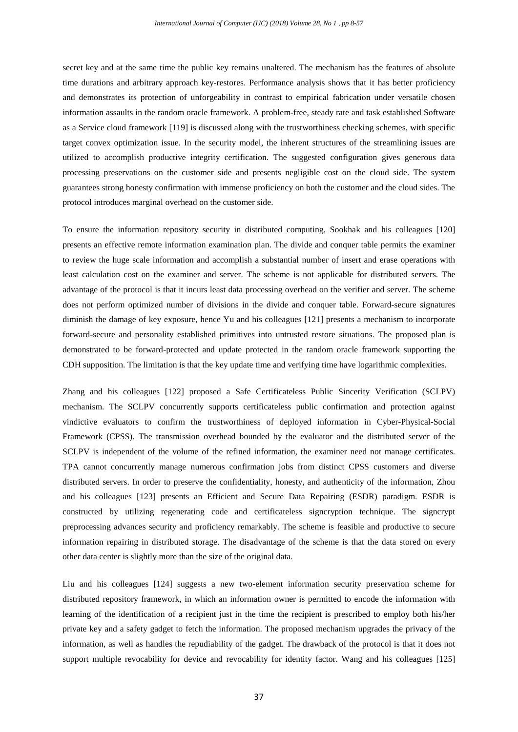secret key and at the same time the public key remains unaltered. The mechanism has the features of absolute time durations and arbitrary approach key-restores. Performance analysis shows that it has better proficiency and demonstrates its protection of unforgeability in contrast to empirical fabrication under versatile chosen information assaults in the random oracle framework. A problem-free, steady rate and task established Software as a Service cloud framework [119] is discussed along with the trustworthiness checking schemes, with specific target convex optimization issue. In the security model, the inherent structures of the streamlining issues are utilized to accomplish productive integrity certification. The suggested configuration gives generous data processing preservations on the customer side and presents negligible cost on the cloud side. The system guarantees strong honesty confirmation with immense proficiency on both the customer and the cloud sides. The protocol introduces marginal overhead on the customer side.

To ensure the information repository security in distributed computing, Sookhak and his colleagues [120] presents an effective remote information examination plan. The divide and conquer table permits the examiner to review the huge scale information and accomplish a substantial number of insert and erase operations with least calculation cost on the examiner and server. The scheme is not applicable for distributed servers. The advantage of the protocol is that it incurs least data processing overhead on the verifier and server. The scheme does not perform optimized number of divisions in the divide and conquer table. Forward-secure signatures diminish the damage of key exposure, hence Yu and his colleagues [121] presents a mechanism to incorporate forward-secure and personality established primitives into untrusted restore situations. The proposed plan is demonstrated to be forward-protected and update protected in the random oracle framework supporting the CDH supposition. The limitation is that the key update time and verifying time have logarithmic complexities.

Zhang and his colleagues [122] proposed a Safe Certificateless Public Sincerity Verification (SCLPV) mechanism. The SCLPV concurrently supports certificateless public confirmation and protection against vindictive evaluators to confirm the trustworthiness of deployed information in Cyber-Physical-Social Framework (CPSS). The transmission overhead bounded by the evaluator and the distributed server of the SCLPV is independent of the volume of the refined information, the examiner need not manage certificates. TPA cannot concurrently manage numerous confirmation jobs from distinct CPSS customers and diverse distributed servers. In order to preserve the confidentiality, honesty, and authenticity of the information, Zhou and his colleagues [123] presents an Efficient and Secure Data Repairing (ESDR) paradigm. ESDR is constructed by utilizing regenerating code and certificateless signcryption technique. The signcrypt preprocessing advances security and proficiency remarkably. The scheme is feasible and productive to secure information repairing in distributed storage. The disadvantage of the scheme is that the data stored on every other data center is slightly more than the size of the original data.

Liu and his colleagues [124] suggests a new two-element information security preservation scheme for distributed repository framework, in which an information owner is permitted to encode the information with learning of the identification of a recipient just in the time the recipient is prescribed to employ both his/her private key and a safety gadget to fetch the information. The proposed mechanism upgrades the privacy of the information, as well as handles the repudiability of the gadget. The drawback of the protocol is that it does not support multiple revocability for device and revocability for identity factor. Wang and his colleagues [125]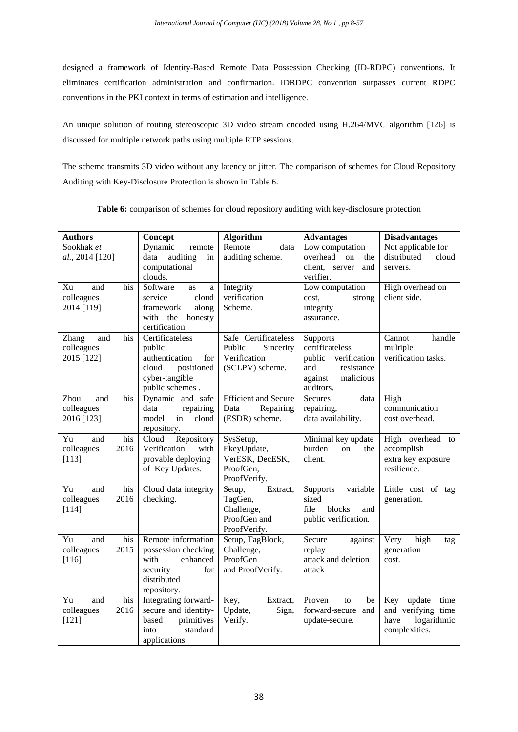designed a framework of Identity-Based Remote Data Possession Checking (ID-RDPC) conventions. It eliminates certification administration and confirmation. IDRDPC convention surpasses current RDPC conventions in the PKI context in terms of estimation and intelligence.

An unique solution of routing stereoscopic 3D video stream encoded using H.264/MVC algorithm [126] is discussed for multiple network paths using multiple RTP sessions.

The scheme transmits 3D video without any latency or jitter. The comparison of schemes for Cloud Repository Auditing with Key-Disclosure Protection is shown in Table 6.

| <b>Authors</b>      | Concept                             | Algorithm                   | <b>Advantages</b>                  | <b>Disadvantages</b>  |
|---------------------|-------------------------------------|-----------------------------|------------------------------------|-----------------------|
| Sookhak et          | Dynamic<br>remote                   | Remote<br>data              | Low computation                    | Not applicable for    |
| al., 2014 [120]     | auditing<br>data<br>in              | auditing scheme.            | overhead on<br>the                 | distributed<br>cloud  |
|                     | computational                       |                             | client, server<br>and              | servers.              |
|                     | clouds.                             |                             | verifier.                          |                       |
| and<br>Xu<br>his    | Software<br>as<br>a                 | Integrity                   | Low computation                    | High overhead on      |
| colleagues          | cloud<br>service                    | verification                | cost,<br>strong                    | client side.          |
| 2014 [119]          | framework<br>along                  | Scheme.                     | integrity                          |                       |
|                     | with the honesty                    |                             | assurance.                         |                       |
|                     | certification.                      |                             |                                    |                       |
| and<br>his<br>Zhang | Certificateless                     | Safe Certificateless        | Supports                           | Cannot<br>handle      |
| colleagues          | public                              | Public<br>Sincerity         | certificateless                    | multiple              |
| 2015 [122]          | authentication<br>for<br>positioned | Verification                | public<br>verification<br>and      | verification tasks.   |
|                     | cloud<br>cyber-tangible             | (SCLPV) scheme.             | resistance<br>malicious<br>against |                       |
|                     | public schemes.                     |                             | auditors.                          |                       |
| Zhou<br>and<br>his  | Dynamic and safe                    | <b>Efficient and Secure</b> | <b>Secures</b><br>data             | High                  |
| colleagues          | data<br>repairing                   | Repairing<br>Data           | repairing,                         | communication         |
| 2016 [123]          | cloud<br>model<br>in                | (ESDR) scheme.              | data availability.                 | cost overhead.        |
|                     | repository.                         |                             |                                    |                       |
| Yu<br>his<br>and    | Cloud<br>Repository                 | SysSetup,                   | Minimal key update                 | High overhead to      |
| colleagues<br>2016  | Verification<br>with                | EkeyUpdate,                 | burden<br>on<br>the                | accomplish            |
| [113]               | provable deploying                  | VerESK, DecESK,             | client.                            | extra key exposure    |
|                     | of Key Updates.                     | ProofGen,                   |                                    | resilience.           |
|                     |                                     | ProofVerify.                |                                    |                       |
| Yu<br>and<br>his    | Cloud data integrity                | Extract,<br>Setup,          | variable<br>Supports               | Little cost of tag    |
| colleagues<br>2016  | checking.                           | TagGen,                     | sized                              | generation.           |
| [114]               |                                     | Challenge,                  | file<br>blocks<br>and              |                       |
|                     |                                     | ProofGen and                | public verification.               |                       |
|                     |                                     | ProofVerify.                |                                    |                       |
| Yu<br>his<br>and    | Remote information                  | Setup, TagBlock,            | Secure<br>against                  | high<br>Very<br>tag   |
| colleagues<br>2015  | possession checking                 | Challenge,                  | replay                             | generation            |
| $[116]$             | with<br>enhanced                    | ProofGen                    | attack and deletion                | cost.                 |
|                     | security<br>for<br>distributed      | and ProofVerify.            | attack                             |                       |
|                     | repository.                         |                             |                                    |                       |
| Yu<br>and<br>his    | Integrating forward-                | Key,<br>Extract,            | Proven<br>to<br>be                 | update<br>Key<br>time |
| colleagues<br>2016  | secure and identity-                | Update,<br>Sign,            | forward-secure and                 | and verifying time    |
| [121]               | primitives<br>based                 | Verify.                     | update-secure.                     | have<br>logarithmic   |
|                     | into<br>standard                    |                             |                                    | complexities.         |
|                     | applications.                       |                             |                                    |                       |
|                     |                                     |                             |                                    |                       |

**Table 6:** comparison of schemes for cloud repository auditing with key-disclosure protection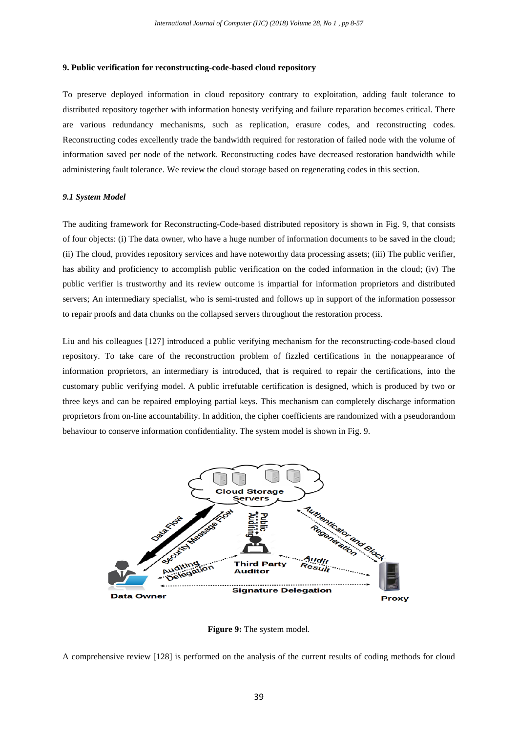## **9. Public verification for reconstructing-code-based cloud repository**

To preserve deployed information in cloud repository contrary to exploitation, adding fault tolerance to distributed repository together with information honesty verifying and failure reparation becomes critical. There are various redundancy mechanisms, such as replication, erasure codes, and reconstructing codes. Reconstructing codes excellently trade the bandwidth required for restoration of failed node with the volume of information saved per node of the network. Reconstructing codes have decreased restoration bandwidth while administering fault tolerance. We review the cloud storage based on regenerating codes in this section.

# *9.1 System Model*

The auditing framework for Reconstructing-Code-based distributed repository is shown in Fig. 9, that consists of four objects: (i) The data owner, who have a huge number of information documents to be saved in the cloud; (ii) The cloud, provides repository services and have noteworthy data processing assets; (iii) The public verifier, has ability and proficiency to accomplish public verification on the coded information in the cloud; (iv) The public verifier is trustworthy and its review outcome is impartial for information proprietors and distributed servers; An intermediary specialist, who is semi-trusted and follows up in support of the information possessor to repair proofs and data chunks on the collapsed servers throughout the restoration process.

Liu and his colleagues [127] introduced a public verifying mechanism for the reconstructing-code-based cloud repository. To take care of the reconstruction problem of fizzled certifications in the nonappearance of information proprietors, an intermediary is introduced, that is required to repair the certifications, into the customary public verifying model. A public irrefutable certification is designed, which is produced by two or three keys and can be repaired employing partial keys. This mechanism can completely discharge information proprietors from on-line accountability. In addition, the cipher coefficients are randomized with a pseudorandom behaviour to conserve information confidentiality. The system model is shown in Fig. 9.



**Figure 9:** The system model.

A comprehensive review [128] is performed on the analysis of the current results of coding methods for cloud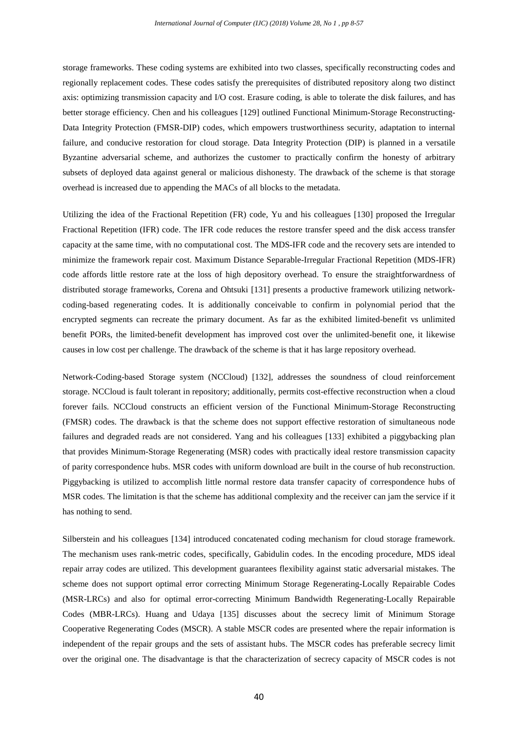storage frameworks. These coding systems are exhibited into two classes, specifically reconstructing codes and regionally replacement codes. These codes satisfy the prerequisites of distributed repository along two distinct axis: optimizing transmission capacity and I/O cost. Erasure coding, is able to tolerate the disk failures, and has better storage efficiency. Chen and his colleagues [129] outlined Functional Minimum-Storage Reconstructing-Data Integrity Protection (FMSR-DIP) codes, which empowers trustworthiness security, adaptation to internal failure, and conducive restoration for cloud storage. Data Integrity Protection (DIP) is planned in a versatile Byzantine adversarial scheme, and authorizes the customer to practically confirm the honesty of arbitrary subsets of deployed data against general or malicious dishonesty. The drawback of the scheme is that storage overhead is increased due to appending the MACs of all blocks to the metadata.

Utilizing the idea of the Fractional Repetition (FR) code, Yu and his colleagues [130] proposed the Irregular Fractional Repetition (IFR) code. The IFR code reduces the restore transfer speed and the disk access transfer capacity at the same time, with no computational cost. The MDS-IFR code and the recovery sets are intended to minimize the framework repair cost. Maximum Distance Separable-Irregular Fractional Repetition (MDS-IFR) code affords little restore rate at the loss of high depository overhead. To ensure the straightforwardness of distributed storage frameworks, Corena and Ohtsuki [131] presents a productive framework utilizing networkcoding-based regenerating codes. It is additionally conceivable to confirm in polynomial period that the encrypted segments can recreate the primary document. As far as the exhibited limited-benefit vs unlimited benefit PORs, the limited-benefit development has improved cost over the unlimited-benefit one, it likewise causes in low cost per challenge. The drawback of the scheme is that it has large repository overhead.

Network-Coding-based Storage system (NCCloud) [132], addresses the soundness of cloud reinforcement storage. NCCloud is fault tolerant in repository; additionally, permits cost-effective reconstruction when a cloud forever fails. NCCloud constructs an efficient version of the Functional Minimum-Storage Reconstructing (FMSR) codes. The drawback is that the scheme does not support effective restoration of simultaneous node failures and degraded reads are not considered. Yang and his colleagues [133] exhibited a piggybacking plan that provides Minimum-Storage Regenerating (MSR) codes with practically ideal restore transmission capacity of parity correspondence hubs. MSR codes with uniform download are built in the course of hub reconstruction. Piggybacking is utilized to accomplish little normal restore data transfer capacity of correspondence hubs of MSR codes. The limitation is that the scheme has additional complexity and the receiver can jam the service if it has nothing to send.

Silberstein and his colleagues [134] introduced concatenated coding mechanism for cloud storage framework. The mechanism uses rank-metric codes, specifically, Gabidulin codes. In the encoding procedure, MDS ideal repair array codes are utilized. This development guarantees flexibility against static adversarial mistakes. The scheme does not support optimal error correcting Minimum Storage Regenerating-Locally Repairable Codes (MSR-LRCs) and also for optimal error-correcting Minimum Bandwidth Regenerating-Locally Repairable Codes (MBR-LRCs). Huang and Udaya [135] discusses about the secrecy limit of Minimum Storage Cooperative Regenerating Codes (MSCR). A stable MSCR codes are presented where the repair information is independent of the repair groups and the sets of assistant hubs. The MSCR codes has preferable secrecy limit over the original one. The disadvantage is that the characterization of secrecy capacity of MSCR codes is not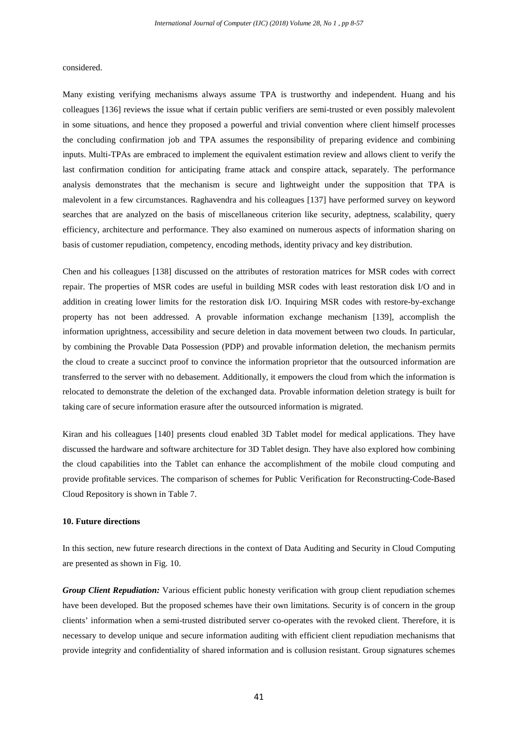considered.

Many existing verifying mechanisms always assume TPA is trustworthy and independent. Huang and his colleagues [136] reviews the issue what if certain public verifiers are semi-trusted or even possibly malevolent in some situations, and hence they proposed a powerful and trivial convention where client himself processes the concluding confirmation job and TPA assumes the responsibility of preparing evidence and combining inputs. Multi-TPAs are embraced to implement the equivalent estimation review and allows client to verify the last confirmation condition for anticipating frame attack and conspire attack, separately. The performance analysis demonstrates that the mechanism is secure and lightweight under the supposition that TPA is malevolent in a few circumstances. Raghavendra and his colleagues [137] have performed survey on keyword searches that are analyzed on the basis of miscellaneous criterion like security, adeptness, scalability, query efficiency, architecture and performance. They also examined on numerous aspects of information sharing on basis of customer repudiation, competency, encoding methods, identity privacy and key distribution.

Chen and his colleagues [138] discussed on the attributes of restoration matrices for MSR codes with correct repair. The properties of MSR codes are useful in building MSR codes with least restoration disk I/O and in addition in creating lower limits for the restoration disk I/O. Inquiring MSR codes with restore-by-exchange property has not been addressed. A provable information exchange mechanism [139], accomplish the information uprightness, accessibility and secure deletion in data movement between two clouds. In particular, by combining the Provable Data Possession (PDP) and provable information deletion, the mechanism permits the cloud to create a succinct proof to convince the information proprietor that the outsourced information are transferred to the server with no debasement. Additionally, it empowers the cloud from which the information is relocated to demonstrate the deletion of the exchanged data. Provable information deletion strategy is built for taking care of secure information erasure after the outsourced information is migrated.

Kiran and his colleagues [140] presents cloud enabled 3D Tablet model for medical applications. They have discussed the hardware and software architecture for 3D Tablet design. They have also explored how combining the cloud capabilities into the Tablet can enhance the accomplishment of the mobile cloud computing and provide profitable services. The comparison of schemes for Public Verification for Reconstructing-Code-Based Cloud Repository is shown in Table 7.

# **10. Future directions**

In this section, new future research directions in the context of Data Auditing and Security in Cloud Computing are presented as shown in Fig. 10.

*Group Client Repudiation:* Various efficient public honesty verification with group client repudiation schemes have been developed. But the proposed schemes have their own limitations. Security is of concern in the group clients' information when a semi-trusted distributed server co-operates with the revoked client. Therefore, it is necessary to develop unique and secure information auditing with efficient client repudiation mechanisms that provide integrity and confidentiality of shared information and is collusion resistant. Group signatures schemes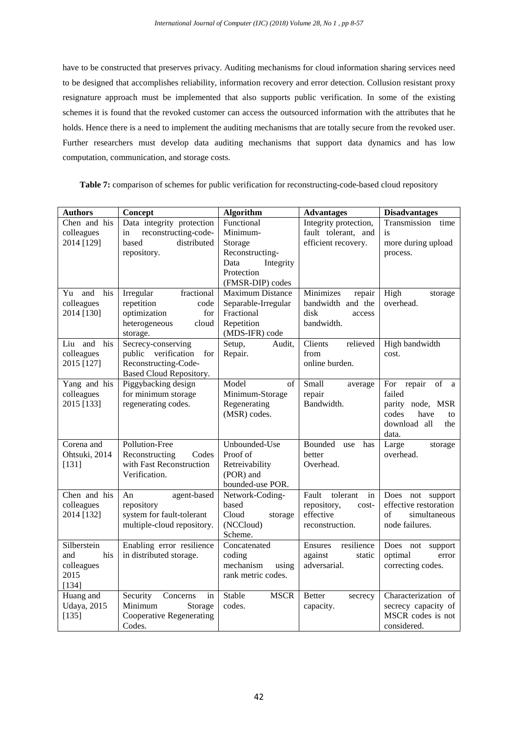have to be constructed that preserves privacy. Auditing mechanisms for cloud information sharing services need to be designed that accomplishes reliability, information recovery and error detection. Collusion resistant proxy resignature approach must be implemented that also supports public verification. In some of the existing schemes it is found that the revoked customer can access the outsourced information with the attributes that he holds. Hence there is a need to implement the auditing mechanisms that are totally secure from the revoked user. Further researchers must develop data auditing mechanisms that support data dynamics and has low computation, communication, and storage costs.

**Table 7:** comparison of schemes for public verification for reconstructing-code-based cloud repository

| <b>Authors</b>               | Concept                                   | Algorithm                   | <b>Advantages</b>           | <b>Disadvantages</b>    |
|------------------------------|-------------------------------------------|-----------------------------|-----------------------------|-------------------------|
| Chen and his                 | Data integrity protection                 | Functional                  | Integrity protection,       | Transmission<br>time    |
| colleagues                   | reconstructing-code-<br>in                | Minimum-                    | fault tolerant, and         | is                      |
| 2014 [129]                   | based<br>distributed                      | Storage                     | efficient recovery.         | more during upload      |
|                              | repository.                               | Reconstructing-             |                             | process.                |
|                              |                                           | Data<br>Integrity           |                             |                         |
|                              |                                           | Protection                  |                             |                         |
|                              |                                           | (FMSR-DIP) codes            |                             |                         |
| Yu<br>and<br>his             | Irregular<br>fractional                   | Maximum Distance            | Minimizes<br>repair         | High<br>storage         |
| colleagues                   | repetition<br>code                        | Separable-Irregular         | bandwidth and the           | overhead.               |
| 2014 [130]                   | optimization<br>for                       | Fractional                  | disk<br>access              |                         |
|                              | heterogeneous<br>cloud                    | Repetition                  | bandwidth.                  |                         |
|                              | storage.                                  | (MDS-IFR) code              |                             |                         |
| Liu and<br>his<br>colleagues | Secrecy-conserving<br>public verification | Setup,<br>Audit,<br>Repair. | Clients<br>relieved<br>from | High bandwidth          |
| 2015 [127]                   | for<br>Reconstructing-Code-               |                             | online burden.              | cost.                   |
|                              | Based Cloud Repository.                   |                             |                             |                         |
| Yang and his                 | Piggybacking design                       | Model<br>of                 | Small<br>average            | For repair<br>of<br>a a |
| colleagues                   | for minimum storage                       | Minimum-Storage             | repair                      | failed                  |
| 2015 [133]                   | regenerating codes.                       | Regenerating                | Bandwidth.                  | parity node, MSR        |
|                              |                                           | (MSR) codes.                |                             | codes<br>have<br>to     |
|                              |                                           |                             |                             | download all<br>the     |
|                              |                                           |                             |                             | data.                   |
| Corena and                   | Pollution-Free                            | Unbounded-Use               | Bounded<br>has<br>use       | Large<br>storage        |
| Ohtsuki, 2014                | Codes<br>Reconstructing                   | Proof of                    | better                      | overhead.               |
| [131]                        | with Fast Reconstruction                  | Retreivability              | Overhead.                   |                         |
|                              | Verification.                             | (POR) and                   |                             |                         |
|                              |                                           | bounded-use POR.            |                             |                         |
| Chen and his                 | An<br>agent-based                         | Network-Coding-             | Fault<br>tolerant<br>in     | Does not support        |
| colleagues                   | repository                                | based                       | repository,<br>cost-        | effective restoration   |
| 2014 [132]                   | system for fault-tolerant                 | Cloud<br>storage            | effective                   | of<br>simultaneous      |
|                              | multiple-cloud repository.                | (NCCloud)                   | reconstruction.             | node failures.          |
|                              |                                           | Scheme.                     |                             |                         |
| Silberstein                  | Enabling error resilience                 | Concatenated                | Ensures<br>resilience       | Does not<br>support     |
| his<br>and                   | in distributed storage.                   | coding                      | against<br>static           | optimal<br>error        |
| colleagues                   |                                           | mechanism<br>using          | adversarial.                | correcting codes.       |
| 2015                         |                                           | rank metric codes.          |                             |                         |
| [134]                        |                                           |                             |                             |                         |
| Huang and                    | Security<br>Concerns<br>in                | Stable<br><b>MSCR</b>       | <b>Better</b><br>secrecy    | Characterization of     |
| <b>Udaya</b> , 2015          | Minimum<br>Storage                        | codes.                      | capacity.                   | secrecy capacity of     |
| [135]                        | <b>Cooperative Regenerating</b>           |                             |                             | MSCR codes is not       |
|                              | Codes.                                    |                             |                             | considered.             |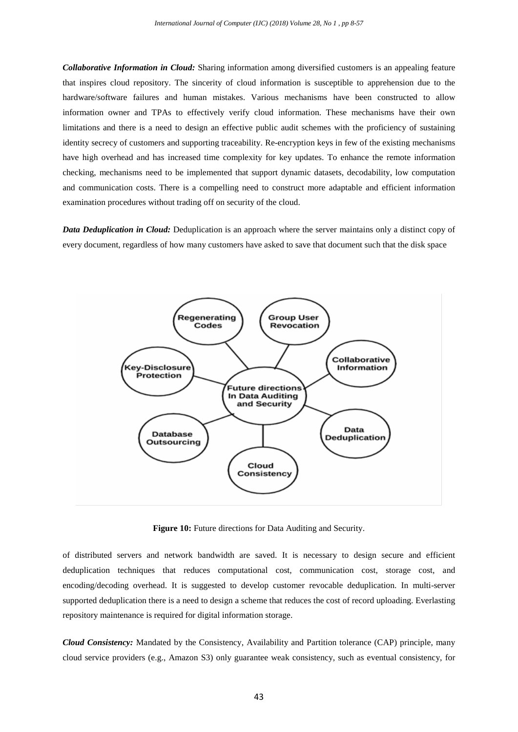*Collaborative Information in Cloud:* Sharing information among diversified customers is an appealing feature that inspires cloud repository. The sincerity of cloud information is susceptible to apprehension due to the hardware/software failures and human mistakes. Various mechanisms have been constructed to allow information owner and TPAs to effectively verify cloud information. These mechanisms have their own limitations and there is a need to design an effective public audit schemes with the proficiency of sustaining identity secrecy of customers and supporting traceability. Re-encryption keys in few of the existing mechanisms have high overhead and has increased time complexity for key updates. To enhance the remote information checking, mechanisms need to be implemented that support dynamic datasets, decodability, low computation and communication costs. There is a compelling need to construct more adaptable and efficient information examination procedures without trading off on security of the cloud.

*Data Deduplication in Cloud:* Deduplication is an approach where the server maintains only a distinct copy of every document, regardless of how many customers have asked to save that document such that the disk space



**Figure 10:** Future directions for Data Auditing and Security.

of distributed servers and network bandwidth are saved. It is necessary to design secure and efficient deduplication techniques that reduces computational cost, communication cost, storage cost, and encoding/decoding overhead. It is suggested to develop customer revocable deduplication. In multi-server supported deduplication there is a need to design a scheme that reduces the cost of record uploading. Everlasting repository maintenance is required for digital information storage.

*Cloud Consistency:* Mandated by the Consistency, Availability and Partition tolerance (CAP) principle, many cloud service providers (e.g., Amazon S3) only guarantee weak consistency, such as eventual consistency, for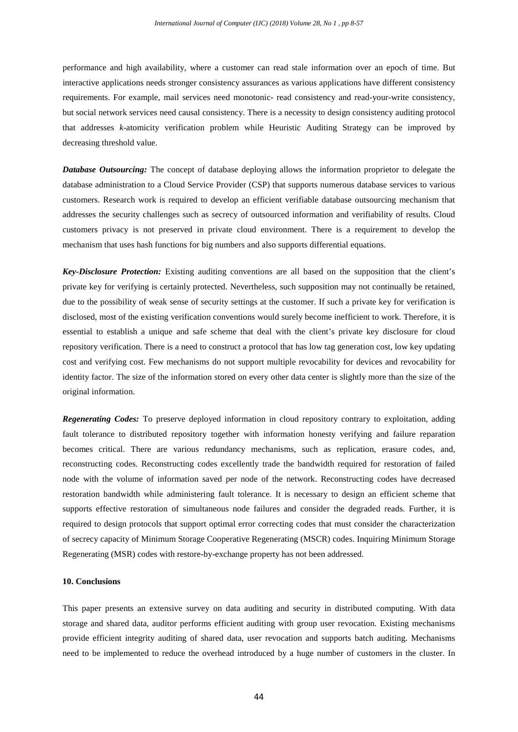performance and high availability, where a customer can read stale information over an epoch of time. But interactive applications needs stronger consistency assurances as various applications have different consistency requirements. For example, mail services need monotonic- read consistency and read-your-write consistency, but social network services need causal consistency. There is a necessity to design consistency auditing protocol that addresses *k*-atomicity verification problem while Heuristic Auditing Strategy can be improved by decreasing threshold value.

*Database Outsourcing:* The concept of database deploying allows the information proprietor to delegate the database administration to a Cloud Service Provider (CSP) that supports numerous database services to various customers. Research work is required to develop an efficient verifiable database outsourcing mechanism that addresses the security challenges such as secrecy of outsourced information and verifiability of results. Cloud customers privacy is not preserved in private cloud environment. There is a requirement to develop the mechanism that uses hash functions for big numbers and also supports differential equations.

*Key-Disclosure Protection:* Existing auditing conventions are all based on the supposition that the client's private key for verifying is certainly protected. Nevertheless, such supposition may not continually be retained, due to the possibility of weak sense of security settings at the customer. If such a private key for verification is disclosed, most of the existing verification conventions would surely become inefficient to work. Therefore, it is essential to establish a unique and safe scheme that deal with the client's private key disclosure for cloud repository verification. There is a need to construct a protocol that has low tag generation cost, low key updating cost and verifying cost. Few mechanisms do not support multiple revocability for devices and revocability for identity factor. The size of the information stored on every other data center is slightly more than the size of the original information.

*Regenerating Codes:* To preserve deployed information in cloud repository contrary to exploitation, adding fault tolerance to distributed repository together with information honesty verifying and failure reparation becomes critical. There are various redundancy mechanisms, such as replication, erasure codes, and, reconstructing codes. Reconstructing codes excellently trade the bandwidth required for restoration of failed node with the volume of information saved per node of the network. Reconstructing codes have decreased restoration bandwidth while administering fault tolerance. It is necessary to design an efficient scheme that supports effective restoration of simultaneous node failures and consider the degraded reads. Further, it is required to design protocols that support optimal error correcting codes that must consider the characterization of secrecy capacity of Minimum Storage Cooperative Regenerating (MSCR) codes. Inquiring Minimum Storage Regenerating (MSR) codes with restore-by-exchange property has not been addressed.

# **10. Conclusions**

This paper presents an extensive survey on data auditing and security in distributed computing. With data storage and shared data, auditor performs efficient auditing with group user revocation. Existing mechanisms provide efficient integrity auditing of shared data, user revocation and supports batch auditing. Mechanisms need to be implemented to reduce the overhead introduced by a huge number of customers in the cluster. In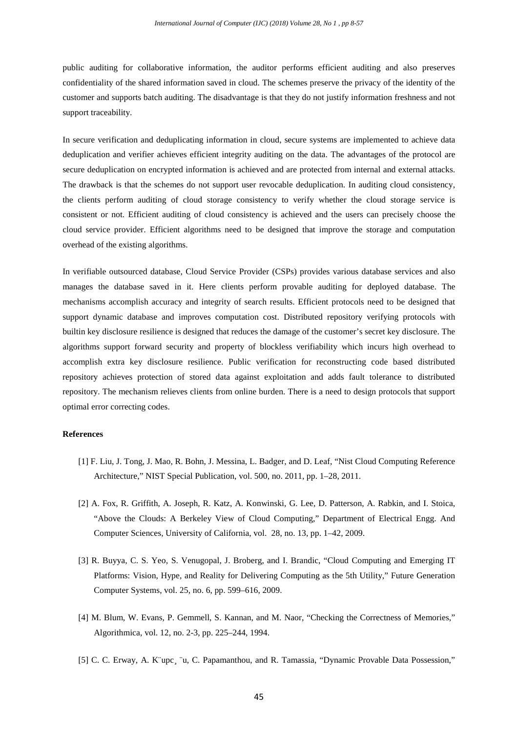public auditing for collaborative information, the auditor performs efficient auditing and also preserves confidentiality of the shared information saved in cloud. The schemes preserve the privacy of the identity of the customer and supports batch auditing. The disadvantage is that they do not justify information freshness and not support traceability.

In secure verification and deduplicating information in cloud, secure systems are implemented to achieve data deduplication and verifier achieves efficient integrity auditing on the data. The advantages of the protocol are secure deduplication on encrypted information is achieved and are protected from internal and external attacks. The drawback is that the schemes do not support user revocable deduplication. In auditing cloud consistency, the clients perform auditing of cloud storage consistency to verify whether the cloud storage service is consistent or not. Efficient auditing of cloud consistency is achieved and the users can precisely choose the cloud service provider. Efficient algorithms need to be designed that improve the storage and computation overhead of the existing algorithms.

In verifiable outsourced database, Cloud Service Provider (CSPs) provides various database services and also manages the database saved in it. Here clients perform provable auditing for deployed database. The mechanisms accomplish accuracy and integrity of search results. Efficient protocols need to be designed that support dynamic database and improves computation cost. Distributed repository verifying protocols with builtin key disclosure resilience is designed that reduces the damage of the customer's secret key disclosure. The algorithms support forward security and property of blockless verifiability which incurs high overhead to accomplish extra key disclosure resilience. Public verification for reconstructing code based distributed repository achieves protection of stored data against exploitation and adds fault tolerance to distributed repository. The mechanism relieves clients from online burden. There is a need to design protocols that support optimal error correcting codes.

# **References**

- [1] F. Liu, J. Tong, J. Mao, R. Bohn, J. Messina, L. Badger, and D. Leaf, "Nist Cloud Computing Reference Architecture," NIST Special Publication, vol. 500, no. 2011, pp. 1–28, 2011.
- [2] A. Fox, R. Griffith, A. Joseph, R. Katz, A. Konwinski, G. Lee, D. Patterson, A. Rabkin, and I. Stoica, "Above the Clouds: A Berkeley View of Cloud Computing," Department of Electrical Engg. And Computer Sciences, University of California, vol. 28, no. 13, pp. 1–42, 2009.
- [3] R. Buyya, C. S. Yeo, S. Venugopal, J. Broberg, and I. Brandic, "Cloud Computing and Emerging IT Platforms: Vision, Hype, and Reality for Delivering Computing as the 5th Utility," Future Generation Computer Systems, vol. 25, no. 6, pp. 599–616, 2009.
- [4] M. Blum, W. Evans, P. Gemmell, S. Kannan, and M. Naor, "Checking the Correctness of Memories," Algorithmica, vol. 12, no. 2-3, pp. 225–244, 1994.
- [5] C. C. Erway, A. K¨upc¸ ¨u, C. Papamanthou, and R. Tamassia, "Dynamic Provable Data Possession,"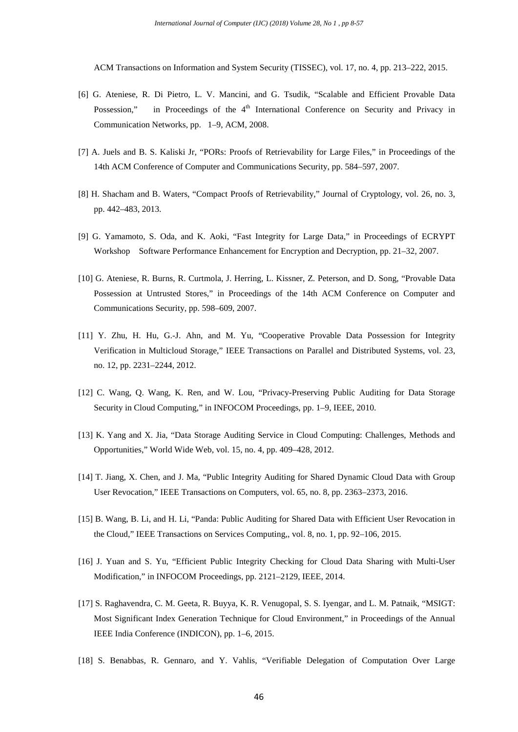ACM Transactions on Information and System Security (TISSEC), vol. 17, no. 4, pp. 213–222, 2015.

- [6] G. Ateniese, R. Di Pietro, L. V. Mancini, and G. Tsudik, "Scalable and Efficient Provable Data Possession," in Proceedings of the 4<sup>th</sup> International Conference on Security and Privacy in Communication Networks, pp. 1–9, ACM, 2008.
- [7] A. Juels and B. S. Kaliski Jr, "PORs: Proofs of Retrievability for Large Files," in Proceedings of the 14th ACM Conference of Computer and Communications Security, pp. 584–597, 2007.
- [8] H. Shacham and B. Waters, "Compact Proofs of Retrievability," Journal of Cryptology, vol. 26, no. 3, pp. 442–483, 2013.
- [9] G. Yamamoto, S. Oda, and K. Aoki, "Fast Integrity for Large Data," in Proceedings of ECRYPT Workshop Software Performance Enhancement for Encryption and Decryption, pp. 21–32, 2007.
- [10] G. Ateniese, R. Burns, R. Curtmola, J. Herring, L. Kissner, Z. Peterson, and D. Song, "Provable Data Possession at Untrusted Stores," in Proceedings of the 14th ACM Conference on Computer and Communications Security, pp. 598–609, 2007.
- [11] Y. Zhu, H. Hu, G.-J. Ahn, and M. Yu, "Cooperative Provable Data Possession for Integrity Verification in Multicloud Storage," IEEE Transactions on Parallel and Distributed Systems, vol. 23, no. 12, pp. 2231–2244, 2012.
- [12] C. Wang, Q. Wang, K. Ren, and W. Lou, "Privacy-Preserving Public Auditing for Data Storage Security in Cloud Computing," in INFOCOM Proceedings, pp. 1–9, IEEE, 2010.
- [13] K. Yang and X. Jia, "Data Storage Auditing Service in Cloud Computing: Challenges, Methods and Opportunities," World Wide Web, vol. 15, no. 4, pp. 409–428, 2012.
- [14] T. Jiang, X. Chen, and J. Ma, "Public Integrity Auditing for Shared Dynamic Cloud Data with Group User Revocation," IEEE Transactions on Computers, vol. 65, no. 8, pp. 2363–2373, 2016.
- [15] B. Wang, B. Li, and H. Li, "Panda: Public Auditing for Shared Data with Efficient User Revocation in the Cloud," IEEE Transactions on Services Computing,, vol. 8, no. 1, pp. 92–106, 2015.
- [16] J. Yuan and S. Yu, "Efficient Public Integrity Checking for Cloud Data Sharing with Multi-User Modification," in INFOCOM Proceedings, pp. 2121–2129, IEEE, 2014.
- [17] S. Raghavendra, C. M. Geeta, R. Buyya, K. R. Venugopal, S. S. Iyengar, and L. M. Patnaik, "MSIGT: Most Significant Index Generation Technique for Cloud Environment," in Proceedings of the Annual IEEE India Conference (INDICON), pp. 1–6, 2015.
- [18] S. Benabbas, R. Gennaro, and Y. Vahlis, "Verifiable Delegation of Computation Over Large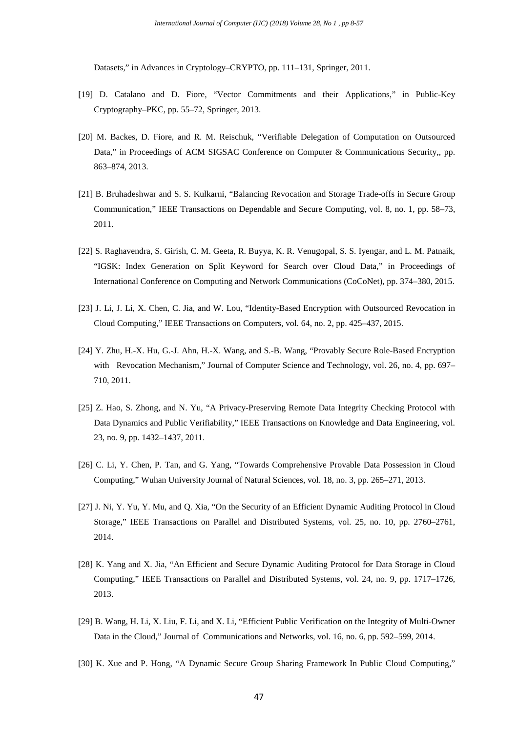Datasets," in Advances in Cryptology–CRYPTO, pp. 111–131, Springer, 2011.

- [19] D. Catalano and D. Fiore, "Vector Commitments and their Applications," in Public-Key Cryptography–PKC, pp. 55–72, Springer, 2013.
- [20] M. Backes, D. Fiore, and R. M. Reischuk, "Verifiable Delegation of Computation on Outsourced Data," in Proceedings of ACM SIGSAC Conference on Computer & Communications Security,, pp. 863–874, 2013.
- [21] B. Bruhadeshwar and S. S. Kulkarni, "Balancing Revocation and Storage Trade-offs in Secure Group Communication," IEEE Transactions on Dependable and Secure Computing, vol. 8, no. 1, pp. 58–73, 2011.
- [22] S. Raghavendra, S. Girish, C. M. Geeta, R. Buyya, K. R. Venugopal, S. S. Iyengar, and L. M. Patnaik, "IGSK: Index Generation on Split Keyword for Search over Cloud Data," in Proceedings of International Conference on Computing and Network Communications (CoCoNet), pp. 374–380, 2015.
- [23] J. Li, J. Li, X. Chen, C. Jia, and W. Lou, "Identity-Based Encryption with Outsourced Revocation in Cloud Computing," IEEE Transactions on Computers, vol. 64, no. 2, pp. 425–437, 2015.
- [24] Y. Zhu, H.-X. Hu, G.-J. Ahn, H.-X. Wang, and S.-B. Wang, "Provably Secure Role-Based Encryption with Revocation Mechanism," Journal of Computer Science and Technology, vol. 26, no. 4, pp. 697– 710, 2011.
- [25] Z. Hao, S. Zhong, and N. Yu, "A Privacy-Preserving Remote Data Integrity Checking Protocol with Data Dynamics and Public Verifiability," IEEE Transactions on Knowledge and Data Engineering, vol. 23, no. 9, pp. 1432–1437, 2011.
- [26] C. Li, Y. Chen, P. Tan, and G. Yang, "Towards Comprehensive Provable Data Possession in Cloud Computing," Wuhan University Journal of Natural Sciences, vol. 18, no. 3, pp. 265–271, 2013.
- [27] J. Ni, Y. Yu, Y. Mu, and Q. Xia, "On the Security of an Efficient Dynamic Auditing Protocol in Cloud Storage," IEEE Transactions on Parallel and Distributed Systems, vol. 25, no. 10, pp. 2760–2761, 2014.
- [28] K. Yang and X. Jia, "An Efficient and Secure Dynamic Auditing Protocol for Data Storage in Cloud Computing," IEEE Transactions on Parallel and Distributed Systems, vol. 24, no. 9, pp. 1717–1726, 2013.
- [29] B. Wang, H. Li, X. Liu, F. Li, and X. Li, "Efficient Public Verification on the Integrity of Multi-Owner Data in the Cloud," Journal of Communications and Networks, vol. 16, no. 6, pp. 592–599, 2014.
- [30] K. Xue and P. Hong, "A Dynamic Secure Group Sharing Framework In Public Cloud Computing,"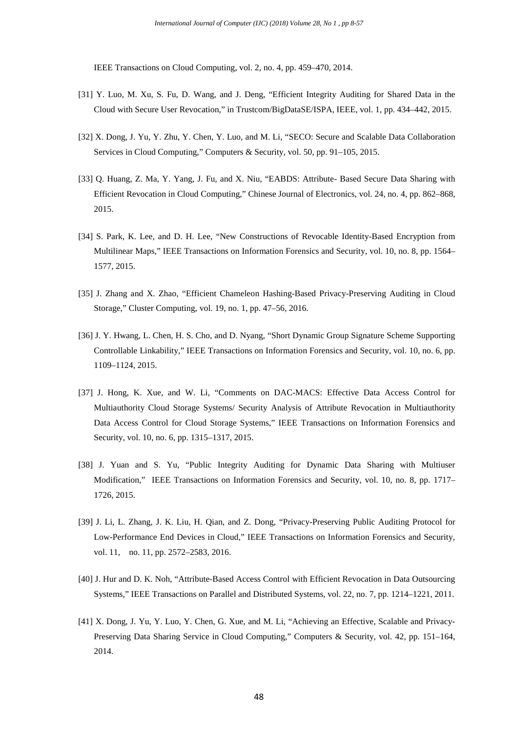IEEE Transactions on Cloud Computing, vol. 2, no. 4, pp. 459–470, 2014.

- [31] Y. Luo, M. Xu, S. Fu, D. Wang, and J. Deng, "Efficient Integrity Auditing for Shared Data in the Cloud with Secure User Revocation," in Trustcom/BigDataSE/ISPA, IEEE, vol. 1, pp. 434–442, 2015.
- [32] X. Dong, J. Yu, Y. Zhu, Y. Chen, Y. Luo, and M. Li, "SECO: Secure and Scalable Data Collaboration Services in Cloud Computing," Computers & Security, vol. 50, pp. 91–105, 2015.
- [33] Q. Huang, Z. Ma, Y. Yang, J. Fu, and X. Niu, "EABDS: Attribute- Based Secure Data Sharing with Efficient Revocation in Cloud Computing," Chinese Journal of Electronics, vol. 24, no. 4, pp. 862–868, 2015.
- [34] S. Park, K. Lee, and D. H. Lee, "New Constructions of Revocable Identity-Based Encryption from Multilinear Maps," IEEE Transactions on Information Forensics and Security, vol. 10, no. 8, pp. 1564– 1577, 2015.
- [35] J. Zhang and X. Zhao, "Efficient Chameleon Hashing-Based Privacy-Preserving Auditing in Cloud Storage," Cluster Computing, vol. 19, no. 1, pp. 47–56, 2016.
- [36] J. Y. Hwang, L. Chen, H. S. Cho, and D. Nyang, "Short Dynamic Group Signature Scheme Supporting Controllable Linkability," IEEE Transactions on Information Forensics and Security, vol. 10, no. 6, pp. 1109–1124, 2015.
- [37] J. Hong, K. Xue, and W. Li, "Comments on DAC-MACS: Effective Data Access Control for Multiauthority Cloud Storage Systems/ Security Analysis of Attribute Revocation in Multiauthority Data Access Control for Cloud Storage Systems," IEEE Transactions on Information Forensics and Security, vol. 10, no. 6, pp. 1315–1317, 2015.
- [38] J. Yuan and S. Yu, "Public Integrity Auditing for Dynamic Data Sharing with Multiuser Modification," IEEE Transactions on Information Forensics and Security, vol. 10, no. 8, pp. 1717– 1726, 2015.
- [39] J. Li, L. Zhang, J. K. Liu, H. Qian, and Z. Dong, "Privacy-Preserving Public Auditing Protocol for Low-Performance End Devices in Cloud," IEEE Transactions on Information Forensics and Security, vol. 11, no. 11, pp. 2572–2583, 2016.
- [40] J. Hur and D. K. Noh, "Attribute-Based Access Control with Efficient Revocation in Data Outsourcing Systems," IEEE Transactions on Parallel and Distributed Systems, vol. 22, no. 7, pp. 1214–1221, 2011.
- [41] X. Dong, J. Yu, Y. Luo, Y. Chen, G. Xue, and M. Li, "Achieving an Effective, Scalable and Privacy-Preserving Data Sharing Service in Cloud Computing," Computers & Security, vol. 42, pp. 151–164, 2014.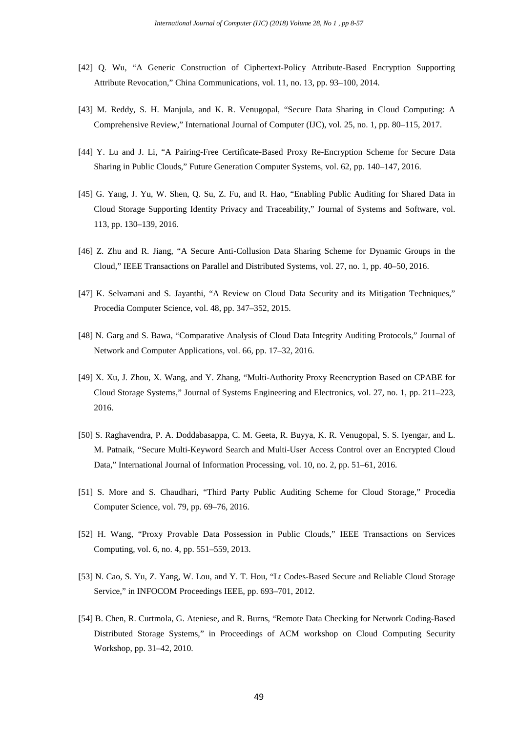- [42] Q. Wu, "A Generic Construction of Ciphertext-Policy Attribute-Based Encryption Supporting Attribute Revocation," China Communications, vol. 11, no. 13, pp. 93–100, 2014.
- [43] M. Reddy, S. H. Manjula, and K. R. Venugopal, "Secure Data Sharing in Cloud Computing: A Comprehensive Review," International Journal of Computer (IJC), vol. 25, no. 1, pp. 80–115, 2017.
- [44] Y. Lu and J. Li, "A Pairing-Free Certificate-Based Proxy Re-Encryption Scheme for Secure Data Sharing in Public Clouds," Future Generation Computer Systems, vol. 62, pp. 140–147, 2016.
- [45] G. Yang, J. Yu, W. Shen, Q. Su, Z. Fu, and R. Hao, "Enabling Public Auditing for Shared Data in Cloud Storage Supporting Identity Privacy and Traceability," Journal of Systems and Software, vol. 113, pp. 130–139, 2016.
- [46] Z. Zhu and R. Jiang, "A Secure Anti-Collusion Data Sharing Scheme for Dynamic Groups in the Cloud," IEEE Transactions on Parallel and Distributed Systems, vol. 27, no. 1, pp. 40–50, 2016.
- [47] K. Selvamani and S. Jayanthi, "A Review on Cloud Data Security and its Mitigation Techniques," Procedia Computer Science, vol. 48, pp. 347–352, 2015.
- [48] N. Garg and S. Bawa, "Comparative Analysis of Cloud Data Integrity Auditing Protocols," Journal of Network and Computer Applications, vol. 66, pp. 17–32, 2016.
- [49] X. Xu, J. Zhou, X. Wang, and Y. Zhang, "Multi-Authority Proxy Reencryption Based on CPABE for Cloud Storage Systems," Journal of Systems Engineering and Electronics, vol. 27, no. 1, pp. 211–223, 2016.
- [50] S. Raghavendra, P. A. Doddabasappa, C. M. Geeta, R. Buyya, K. R. Venugopal, S. S. Iyengar, and L. M. Patnaik, "Secure Multi-Keyword Search and Multi-User Access Control over an Encrypted Cloud Data," International Journal of Information Processing, vol. 10, no. 2, pp. 51–61, 2016.
- [51] S. More and S. Chaudhari, "Third Party Public Auditing Scheme for Cloud Storage," Procedia Computer Science, vol. 79, pp. 69–76, 2016.
- [52] H. Wang, "Proxy Provable Data Possession in Public Clouds," IEEE Transactions on Services Computing, vol. 6, no. 4, pp. 551–559, 2013.
- [53] N. Cao, S. Yu, Z. Yang, W. Lou, and Y. T. Hou, "Lt Codes-Based Secure and Reliable Cloud Storage Service," in INFOCOM Proceedings IEEE, pp. 693–701, 2012.
- [54] B. Chen, R. Curtmola, G. Ateniese, and R. Burns, "Remote Data Checking for Network Coding-Based Distributed Storage Systems," in Proceedings of ACM workshop on Cloud Computing Security Workshop, pp. 31–42, 2010.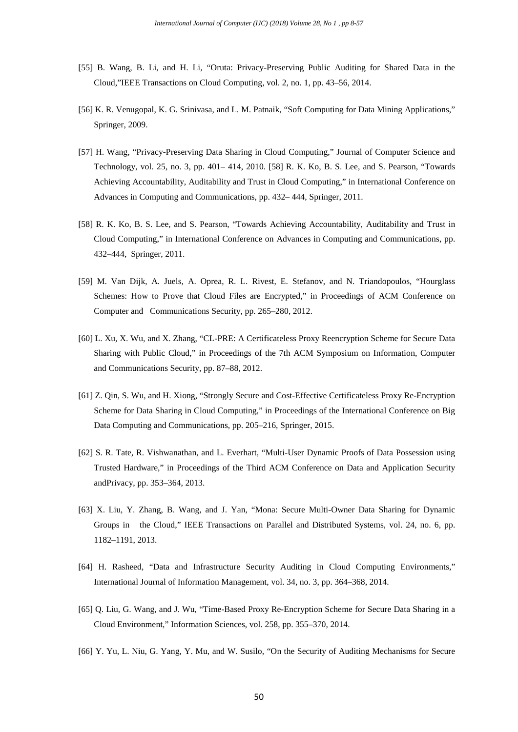- [55] B. Wang, B. Li, and H. Li, "Oruta: Privacy-Preserving Public Auditing for Shared Data in the Cloud,"IEEE Transactions on Cloud Computing, vol. 2, no. 1, pp. 43–56, 2014.
- [56] K. R. Venugopal, K. G. Srinivasa, and L. M. Patnaik, "Soft Computing for Data Mining Applications," Springer, 2009.
- [57] H. Wang, "Privacy-Preserving Data Sharing in Cloud Computing," Journal of Computer Science and Technology, vol. 25, no. 3, pp. 401– 414, 2010. [58] R. K. Ko, B. S. Lee, and S. Pearson, "Towards Achieving Accountability, Auditability and Trust in Cloud Computing," in International Conference on Advances in Computing and Communications, pp. 432– 444, Springer, 2011.
- [58] R. K. Ko, B. S. Lee, and S. Pearson, "Towards Achieving Accountability, Auditability and Trust in Cloud Computing," in International Conference on Advances in Computing and Communications, pp. 432–444, Springer, 2011.
- [59] M. Van Dijk, A. Juels, A. Oprea, R. L. Rivest, E. Stefanov, and N. Triandopoulos, "Hourglass Schemes: How to Prove that Cloud Files are Encrypted," in Proceedings of ACM Conference on Computer and Communications Security, pp. 265–280, 2012.
- [60] L. Xu, X. Wu, and X. Zhang, "CL-PRE: A Certificateless Proxy Reencryption Scheme for Secure Data Sharing with Public Cloud," in Proceedings of the 7th ACM Symposium on Information, Computer and Communications Security, pp. 87–88, 2012.
- [61] Z. Qin, S. Wu, and H. Xiong, "Strongly Secure and Cost-Effective Certificateless Proxy Re-Encryption Scheme for Data Sharing in Cloud Computing," in Proceedings of the International Conference on Big Data Computing and Communications, pp. 205–216, Springer, 2015.
- [62] S. R. Tate, R. Vishwanathan, and L. Everhart, "Multi-User Dynamic Proofs of Data Possession using Trusted Hardware," in Proceedings of the Third ACM Conference on Data and Application Security andPrivacy, pp. 353–364, 2013.
- [63] X. Liu, Y. Zhang, B. Wang, and J. Yan, "Mona: Secure Multi-Owner Data Sharing for Dynamic Groups in the Cloud," IEEE Transactions on Parallel and Distributed Systems, vol. 24, no. 6, pp. 1182–1191, 2013.
- [64] H. Rasheed, "Data and Infrastructure Security Auditing in Cloud Computing Environments," International Journal of Information Management, vol. 34, no. 3, pp. 364–368, 2014.
- [65] Q. Liu, G. Wang, and J. Wu, "Time-Based Proxy Re-Encryption Scheme for Secure Data Sharing in a Cloud Environment," Information Sciences, vol. 258, pp. 355–370, 2014.
- [66] Y. Yu, L. Niu, G. Yang, Y. Mu, and W. Susilo, "On the Security of Auditing Mechanisms for Secure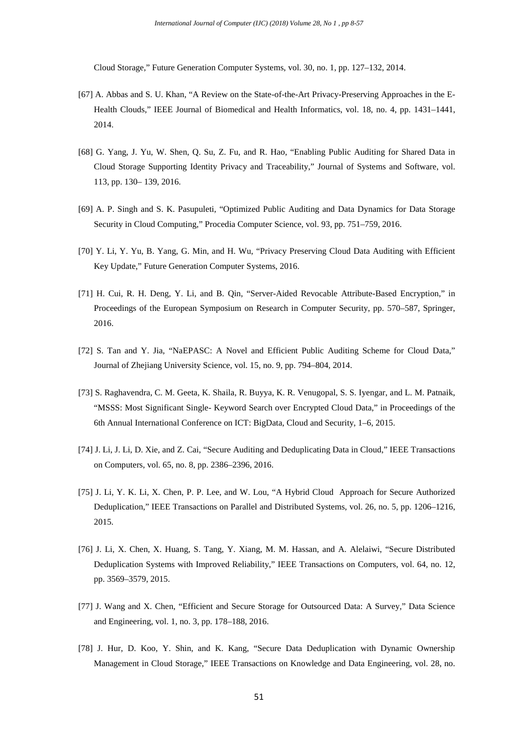Cloud Storage," Future Generation Computer Systems, vol. 30, no. 1, pp. 127–132, 2014.

- [67] A. Abbas and S. U. Khan, "A Review on the State-of-the-Art Privacy-Preserving Approaches in the E-Health Clouds," IEEE Journal of Biomedical and Health Informatics, vol. 18, no. 4, pp. 1431–1441, 2014.
- [68] G. Yang, J. Yu, W. Shen, Q. Su, Z. Fu, and R. Hao, "Enabling Public Auditing for Shared Data in Cloud Storage Supporting Identity Privacy and Traceability," Journal of Systems and Software, vol. 113, pp. 130– 139, 2016.
- [69] A. P. Singh and S. K. Pasupuleti, "Optimized Public Auditing and Data Dynamics for Data Storage Security in Cloud Computing," Procedia Computer Science, vol. 93, pp. 751–759, 2016.
- [70] Y. Li, Y. Yu, B. Yang, G. Min, and H. Wu, "Privacy Preserving Cloud Data Auditing with Efficient Key Update," Future Generation Computer Systems, 2016.
- [71] H. Cui, R. H. Deng, Y. Li, and B. Qin, "Server-Aided Revocable Attribute-Based Encryption," in Proceedings of the European Symposium on Research in Computer Security, pp. 570–587, Springer, 2016.
- [72] S. Tan and Y. Jia, "NaEPASC: A Novel and Efficient Public Auditing Scheme for Cloud Data," Journal of Zhejiang University Science, vol. 15, no. 9, pp. 794–804, 2014.
- [73] S. Raghavendra, C. M. Geeta, K. Shaila, R. Buyya, K. R. Venugopal, S. S. Iyengar, and L. M. Patnaik, "MSSS: Most Significant Single- Keyword Search over Encrypted Cloud Data," in Proceedings of the 6th Annual International Conference on ICT: BigData, Cloud and Security, 1–6, 2015.
- [74] J. Li, J. Li, D. Xie, and Z. Cai, "Secure Auditing and Deduplicating Data in Cloud," IEEE Transactions on Computers, vol. 65, no. 8, pp. 2386–2396, 2016.
- [75] J. Li, Y. K. Li, X. Chen, P. P. Lee, and W. Lou, "A Hybrid Cloud Approach for Secure Authorized Deduplication," IEEE Transactions on Parallel and Distributed Systems, vol. 26, no. 5, pp. 1206–1216, 2015.
- [76] J. Li, X. Chen, X. Huang, S. Tang, Y. Xiang, M. M. Hassan, and A. Alelaiwi, "Secure Distributed Deduplication Systems with Improved Reliability," IEEE Transactions on Computers, vol. 64, no. 12, pp. 3569–3579, 2015.
- [77] J. Wang and X. Chen, "Efficient and Secure Storage for Outsourced Data: A Survey," Data Science and Engineering, vol. 1, no. 3, pp. 178–188, 2016.
- [78] J. Hur, D. Koo, Y. Shin, and K. Kang, "Secure Data Deduplication with Dynamic Ownership Management in Cloud Storage," IEEE Transactions on Knowledge and Data Engineering, vol. 28, no.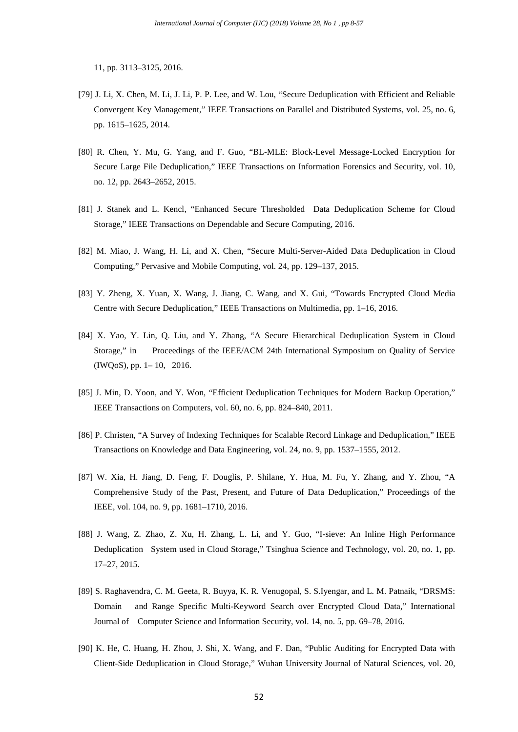11, pp. 3113–3125, 2016.

- [79] J. Li, X. Chen, M. Li, J. Li, P. P. Lee, and W. Lou, "Secure Deduplication with Efficient and Reliable Convergent Key Management," IEEE Transactions on Parallel and Distributed Systems, vol. 25, no. 6, pp. 1615–1625, 2014.
- [80] R. Chen, Y. Mu, G. Yang, and F. Guo, "BL-MLE: Block-Level Message-Locked Encryption for Secure Large File Deduplication," IEEE Transactions on Information Forensics and Security, vol. 10, no. 12, pp. 2643–2652, 2015.
- [81] J. Stanek and L. Kencl, "Enhanced Secure Thresholded Data Deduplication Scheme for Cloud Storage," IEEE Transactions on Dependable and Secure Computing, 2016.
- [82] M. Miao, J. Wang, H. Li, and X. Chen, "Secure Multi-Server-Aided Data Deduplication in Cloud Computing," Pervasive and Mobile Computing, vol. 24, pp. 129–137, 2015.
- [83] Y. Zheng, X. Yuan, X. Wang, J. Jiang, C. Wang, and X. Gui, "Towards Encrypted Cloud Media Centre with Secure Deduplication," IEEE Transactions on Multimedia, pp. 1–16, 2016.
- [84] X. Yao, Y. Lin, Q. Liu, and Y. Zhang, "A Secure Hierarchical Deduplication System in Cloud Storage," in Proceedings of the IEEE/ACM 24th International Symposium on Quality of Service (IWQoS), pp. 1– 10, 2016.
- [85] J. Min, D. Yoon, and Y. Won, "Efficient Deduplication Techniques for Modern Backup Operation," IEEE Transactions on Computers, vol. 60, no. 6, pp. 824–840, 2011.
- [86] P. Christen, "A Survey of Indexing Techniques for Scalable Record Linkage and Deduplication," IEEE Transactions on Knowledge and Data Engineering, vol. 24, no. 9, pp. 1537–1555, 2012.
- [87] W. Xia, H. Jiang, D. Feng, F. Douglis, P. Shilane, Y. Hua, M. Fu, Y. Zhang, and Y. Zhou, "A Comprehensive Study of the Past, Present, and Future of Data Deduplication," Proceedings of the IEEE, vol. 104, no. 9, pp. 1681–1710, 2016.
- [88] J. Wang, Z. Zhao, Z. Xu, H. Zhang, L. Li, and Y. Guo, "I-sieve: An Inline High Performance Deduplication System used in Cloud Storage," Tsinghua Science and Technology, vol. 20, no. 1, pp. 17–27, 2015.
- [89] S. Raghavendra, C. M. Geeta, R. Buyya, K. R. Venugopal, S. S.Iyengar, and L. M. Patnaik, "DRSMS: Domain and Range Specific Multi-Keyword Search over Encrypted Cloud Data," International Journal of Computer Science and Information Security, vol. 14, no. 5, pp. 69–78, 2016.
- [90] K. He, C. Huang, H. Zhou, J. Shi, X. Wang, and F. Dan, "Public Auditing for Encrypted Data with Client-Side Deduplication in Cloud Storage," Wuhan University Journal of Natural Sciences, vol. 20,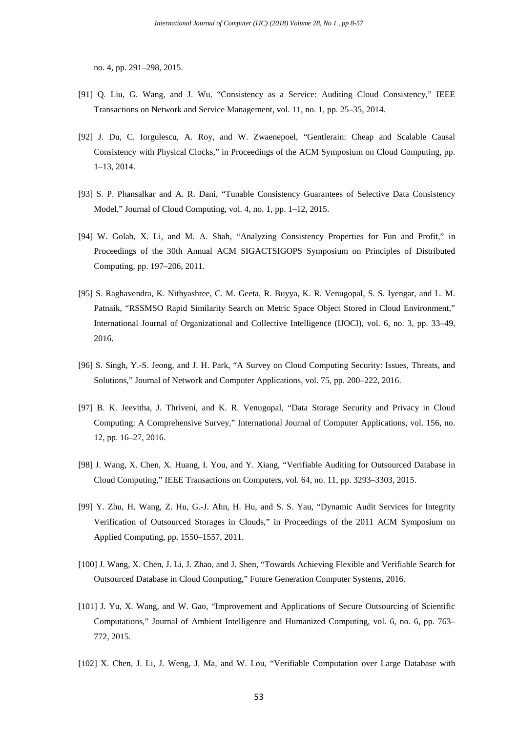no. 4, pp. 291–298, 2015.

- [91] Q. Liu, G. Wang, and J. Wu, "Consistency as a Service: Auditing Cloud Consistency," IEEE Transactions on Network and Service Management, vol. 11, no. 1, pp. 25–35, 2014.
- [92] J. Du, C. Iorgulescu, A. Roy, and W. Zwaenepoel, "Gentlerain: Cheap and Scalable Causal Consistency with Physical Clocks," in Proceedings of the ACM Symposium on Cloud Computing, pp. 1–13, 2014.
- [93] S. P. Phansalkar and A. R. Dani, "Tunable Consistency Guarantees of Selective Data Consistency Model," Journal of Cloud Computing, vol. 4, no. 1, pp. 1–12, 2015.
- [94] W. Golab, X. Li, and M. A. Shah, "Analyzing Consistency Properties for Fun and Profit," in Proceedings of the 30th Annual ACM SIGACTSIGOPS Symposium on Principles of Distributed Computing, pp. 197–206, 2011.
- [95] S. Raghavendra, K. Nithyashree, C. M. Geeta, R. Buyya, K. R. Venugopal, S. S. Iyengar, and L. M. Patnaik, "RSSMSO Rapid Similarity Search on Metric Space Object Stored in Cloud Environment," International Journal of Organizational and Collective Intelligence (IJOCI), vol. 6, no. 3, pp. 33–49, 2016.
- [96] S. Singh, Y.-S. Jeong, and J. H. Park, "A Survey on Cloud Computing Security: Issues, Threats, and Solutions," Journal of Network and Computer Applications, vol. 75, pp. 200–222, 2016.
- [97] B. K. Jeevitha, J. Thriveni, and K. R. Venugopal, "Data Storage Security and Privacy in Cloud Computing: A Comprehensive Survey," International Journal of Computer Applications, vol. 156, no. 12, pp. 16–27, 2016.
- [98] J. Wang, X. Chen, X. Huang, I. You, and Y. Xiang, "Verifiable Auditing for Outsourced Database in Cloud Computing," IEEE Transactions on Computers, vol. 64, no. 11, pp. 3293–3303, 2015.
- [99] Y. Zhu, H. Wang, Z. Hu, G.-J. Ahn, H. Hu, and S. S. Yau, "Dynamic Audit Services for Integrity Verification of Outsourced Storages in Clouds," in Proceedings of the 2011 ACM Symposium on Applied Computing, pp. 1550–1557, 2011.
- [100] J. Wang, X. Chen, J. Li, J. Zhao, and J. Shen, "Towards Achieving Flexible and Verifiable Search for Outsourced Database in Cloud Computing," Future Generation Computer Systems, 2016.
- [101] J. Yu, X. Wang, and W. Gao, "Improvement and Applications of Secure Outsourcing of Scientific Computations," Journal of Ambient Intelligence and Humanized Computing, vol. 6, no. 6, pp. 763– 772, 2015.
- [102] X. Chen, J. Li, J. Weng, J. Ma, and W. Lou, "Verifiable Computation over Large Database with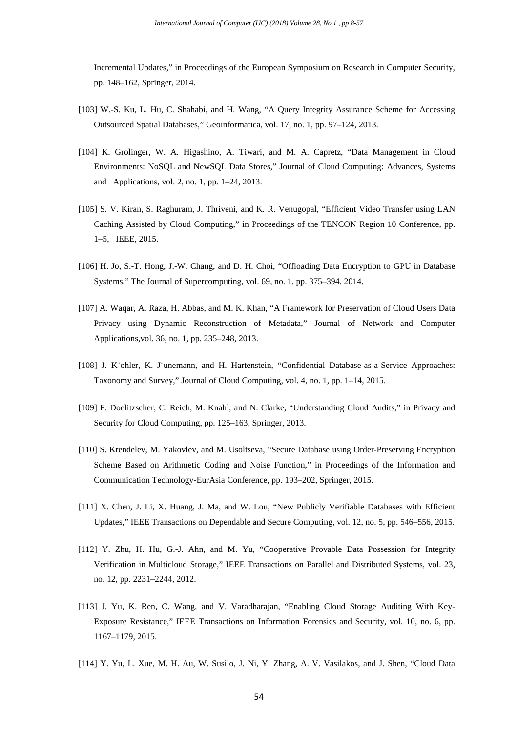Incremental Updates," in Proceedings of the European Symposium on Research in Computer Security, pp. 148–162, Springer, 2014.

- [103] W.-S. Ku, L. Hu, C. Shahabi, and H. Wang, "A Query Integrity Assurance Scheme for Accessing Outsourced Spatial Databases," Geoinformatica, vol. 17, no. 1, pp. 97–124, 2013.
- [104] K. Grolinger, W. A. Higashino, A. Tiwari, and M. A. Capretz, "Data Management in Cloud Environments: NoSQL and NewSQL Data Stores," Journal of Cloud Computing: Advances, Systems and Applications, vol. 2, no. 1, pp. 1–24, 2013.
- [105] S. V. Kiran, S. Raghuram, J. Thriveni, and K. R. Venugopal, "Efficient Video Transfer using LAN Caching Assisted by Cloud Computing," in Proceedings of the TENCON Region 10 Conference, pp. 1–5, IEEE, 2015.
- [106] H. Jo, S.-T. Hong, J.-W. Chang, and D. H. Choi, "Offloading Data Encryption to GPU in Database Systems," The Journal of Supercomputing, vol. 69, no. 1, pp. 375–394, 2014.
- [107] A. Waqar, A. Raza, H. Abbas, and M. K. Khan, "A Framework for Preservation of Cloud Users Data Privacy using Dynamic Reconstruction of Metadata," Journal of Network and Computer Applications,vol. 36, no. 1, pp. 235–248, 2013.
- [108] J. K¨ohler, K. J¨unemann, and H. Hartenstein, "Confidential Database-as-a-Service Approaches: Taxonomy and Survey," Journal of Cloud Computing, vol. 4, no. 1, pp. 1–14, 2015.
- [109] F. Doelitzscher, C. Reich, M. Knahl, and N. Clarke, "Understanding Cloud Audits," in Privacy and Security for Cloud Computing, pp. 125–163, Springer, 2013.
- [110] S. Krendelev, M. Yakovlev, and M. Usoltseva, "Secure Database using Order-Preserving Encryption Scheme Based on Arithmetic Coding and Noise Function," in Proceedings of the Information and Communication Technology-EurAsia Conference, pp. 193–202, Springer, 2015.
- [111] X. Chen, J. Li, X. Huang, J. Ma, and W. Lou, "New Publicly Verifiable Databases with Efficient Updates," IEEE Transactions on Dependable and Secure Computing, vol. 12, no. 5, pp. 546–556, 2015.
- [112] Y. Zhu, H. Hu, G.-J. Ahn, and M. Yu, "Cooperative Provable Data Possession for Integrity Verification in Multicloud Storage," IEEE Transactions on Parallel and Distributed Systems, vol. 23, no. 12, pp. 2231–2244, 2012.
- [113] J. Yu, K. Ren, C. Wang, and V. Varadharajan, "Enabling Cloud Storage Auditing With Key-Exposure Resistance," IEEE Transactions on Information Forensics and Security, vol. 10, no. 6, pp. 1167–1179, 2015.
- [114] Y. Yu, L. Xue, M. H. Au, W. Susilo, J. Ni, Y. Zhang, A. V. Vasilakos, and J. Shen, "Cloud Data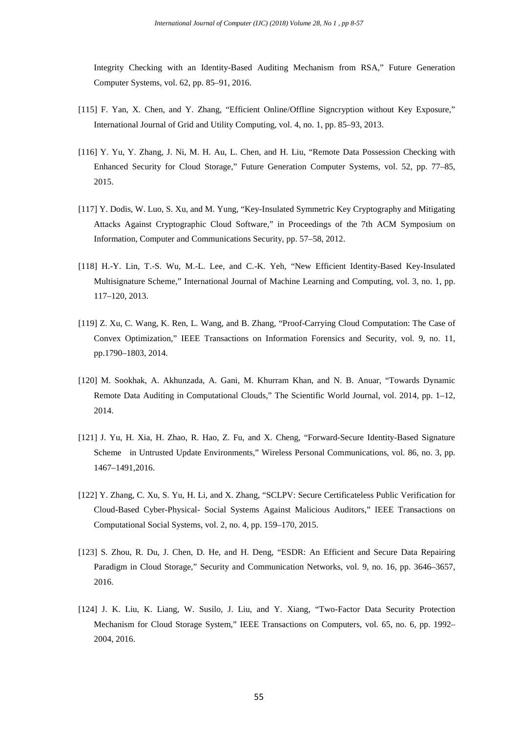Integrity Checking with an Identity-Based Auditing Mechanism from RSA," Future Generation Computer Systems, vol. 62, pp. 85–91, 2016.

- [115] F. Yan, X. Chen, and Y. Zhang, "Efficient Online/Offline Signcryption without Key Exposure," International Journal of Grid and Utility Computing, vol. 4, no. 1, pp. 85–93, 2013.
- [116] Y. Yu, Y. Zhang, J. Ni, M. H. Au, L. Chen, and H. Liu, "Remote Data Possession Checking with Enhanced Security for Cloud Storage," Future Generation Computer Systems, vol. 52, pp. 77–85, 2015.
- [117] Y. Dodis, W. Luo, S. Xu, and M. Yung, "Key-Insulated Symmetric Key Cryptography and Mitigating Attacks Against Cryptographic Cloud Software," in Proceedings of the 7th ACM Symposium on Information, Computer and Communications Security, pp. 57–58, 2012.
- [118] H.-Y. Lin, T.-S. Wu, M.-L. Lee, and C.-K. Yeh, "New Efficient Identity-Based Key-Insulated Multisignature Scheme," International Journal of Machine Learning and Computing, vol. 3, no. 1, pp. 117–120, 2013.
- [119] Z. Xu, C. Wang, K. Ren, L. Wang, and B. Zhang, "Proof-Carrying Cloud Computation: The Case of Convex Optimization," IEEE Transactions on Information Forensics and Security, vol. 9, no. 11, pp.1790–1803, 2014.
- [120] M. Sookhak, A. Akhunzada, A. Gani, M. Khurram Khan, and N. B. Anuar, "Towards Dynamic Remote Data Auditing in Computational Clouds," The Scientific World Journal, vol. 2014, pp. 1–12, 2014.
- [121] J. Yu, H. Xia, H. Zhao, R. Hao, Z. Fu, and X. Cheng, "Forward-Secure Identity-Based Signature Scheme in Untrusted Update Environments," Wireless Personal Communications, vol. 86, no. 3, pp. 1467–1491,2016.
- [122] Y. Zhang, C. Xu, S. Yu, H. Li, and X. Zhang, "SCLPV: Secure Certificateless Public Verification for Cloud-Based Cyber-Physical- Social Systems Against Malicious Auditors," IEEE Transactions on Computational Social Systems, vol. 2, no. 4, pp. 159–170, 2015.
- [123] S. Zhou, R. Du, J. Chen, D. He, and H. Deng, "ESDR: An Efficient and Secure Data Repairing Paradigm in Cloud Storage," Security and Communication Networks, vol. 9, no. 16, pp. 3646–3657, 2016.
- [124] J. K. Liu, K. Liang, W. Susilo, J. Liu, and Y. Xiang, "Two-Factor Data Security Protection Mechanism for Cloud Storage System," IEEE Transactions on Computers, vol. 65, no. 6, pp. 1992– 2004, 2016.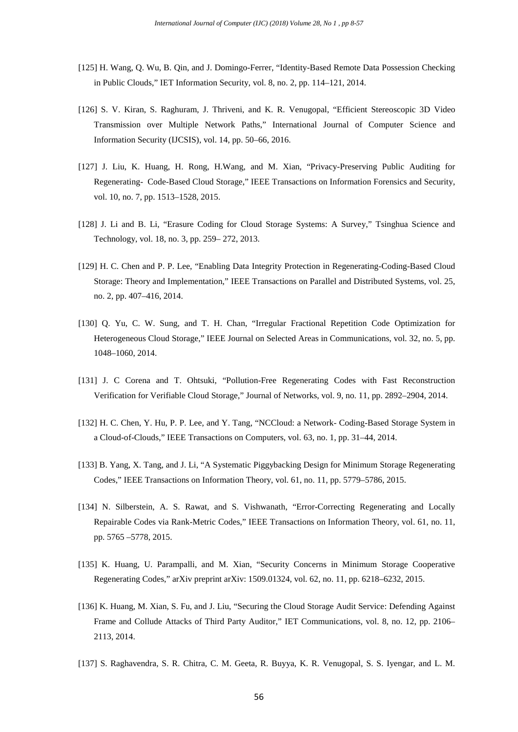- [125] H. Wang, Q. Wu, B. Qin, and J. Domingo-Ferrer, "Identity-Based Remote Data Possession Checking in Public Clouds," IET Information Security, vol. 8, no. 2, pp. 114–121, 2014.
- [126] S. V. Kiran, S. Raghuram, J. Thriveni, and K. R. Venugopal, "Efficient Stereoscopic 3D Video Transmission over Multiple Network Paths," International Journal of Computer Science and Information Security (IJCSIS), vol. 14, pp. 50–66, 2016.
- [127] J. Liu, K. Huang, H. Rong, H. Wang, and M. Xian, "Privacy-Preserving Public Auditing for Regenerating- Code-Based Cloud Storage," IEEE Transactions on Information Forensics and Security, vol. 10, no. 7, pp. 1513–1528, 2015.
- [128] J. Li and B. Li, "Erasure Coding for Cloud Storage Systems: A Survey," Tsinghua Science and Technology, vol. 18, no. 3, pp. 259– 272, 2013.
- [129] H. C. Chen and P. P. Lee, "Enabling Data Integrity Protection in Regenerating-Coding-Based Cloud Storage: Theory and Implementation," IEEE Transactions on Parallel and Distributed Systems, vol. 25, no. 2, pp. 407–416, 2014.
- [130] Q. Yu, C. W. Sung, and T. H. Chan, "Irregular Fractional Repetition Code Optimization for Heterogeneous Cloud Storage," IEEE Journal on Selected Areas in Communications, vol. 32, no. 5, pp. 1048–1060, 2014.
- [131] J. C Corena and T. Ohtsuki, "Pollution-Free Regenerating Codes with Fast Reconstruction Verification for Verifiable Cloud Storage," Journal of Networks, vol. 9, no. 11, pp. 2892–2904, 2014.
- [132] H. C. Chen, Y. Hu, P. P. Lee, and Y. Tang, "NCCloud: a Network- Coding-Based Storage System in a Cloud-of-Clouds," IEEE Transactions on Computers, vol. 63, no. 1, pp. 31–44, 2014.
- [133] B. Yang, X. Tang, and J. Li, "A Systematic Piggybacking Design for Minimum Storage Regenerating Codes," IEEE Transactions on Information Theory, vol. 61, no. 11, pp. 5779–5786, 2015.
- [134] N. Silberstein, A. S. Rawat, and S. Vishwanath, "Error-Correcting Regenerating and Locally Repairable Codes via Rank-Metric Codes," IEEE Transactions on Information Theory, vol. 61, no. 11, pp. 5765 –5778, 2015.
- [135] K. Huang, U. Parampalli, and M. Xian, "Security Concerns in Minimum Storage Cooperative Regenerating Codes," arXiv preprint arXiv: 1509.01324, vol. 62, no. 11, pp. 6218–6232, 2015.
- [136] K. Huang, M. Xian, S. Fu, and J. Liu, "Securing the Cloud Storage Audit Service: Defending Against Frame and Collude Attacks of Third Party Auditor," IET Communications, vol. 8, no. 12, pp. 2106– 2113, 2014.
- [137] S. Raghavendra, S. R. Chitra, C. M. Geeta, R. Buyya, K. R. Venugopal, S. S. Iyengar, and L. M.